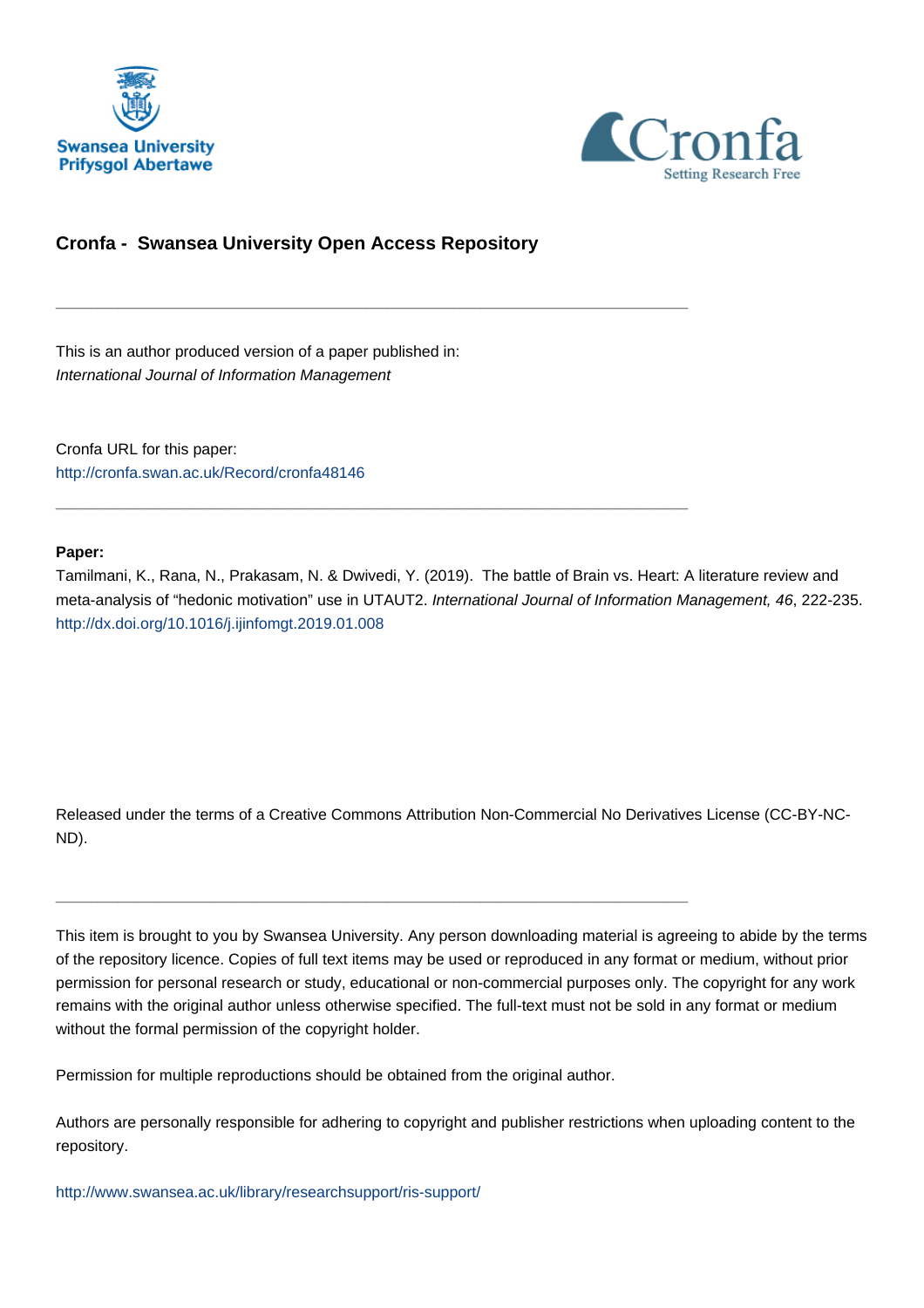



# **Cronfa - Swansea University Open Access Repository**

\_\_\_\_\_\_\_\_\_\_\_\_\_\_\_\_\_\_\_\_\_\_\_\_\_\_\_\_\_\_\_\_\_\_\_\_\_\_\_\_\_\_\_\_\_\_\_\_\_\_\_\_\_\_\_\_\_\_\_\_\_

\_\_\_\_\_\_\_\_\_\_\_\_\_\_\_\_\_\_\_\_\_\_\_\_\_\_\_\_\_\_\_\_\_\_\_\_\_\_\_\_\_\_\_\_\_\_\_\_\_\_\_\_\_\_\_\_\_\_\_\_\_

This is an author produced version of a paper published in: International Journal of Information Management

Cronfa URL for this paper: <http://cronfa.swan.ac.uk/Record/cronfa48146>

#### **Paper:**

Tamilmani, K., Rana, N., Prakasam, N. & Dwivedi, Y. (2019). The battle of Brain vs. Heart: A literature review and meta-analysis of "hedonic motivation" use in UTAUT2. International Journal of Information Management, 46, 222-235. <http://dx.doi.org/10.1016/j.ijinfomgt.2019.01.008>

Released under the terms of a Creative Commons Attribution Non-Commercial No Derivatives License (CC-BY-NC-ND).

This item is brought to you by Swansea University. Any person downloading material is agreeing to abide by the terms of the repository licence. Copies of full text items may be used or reproduced in any format or medium, without prior permission for personal research or study, educational or non-commercial purposes only. The copyright for any work remains with the original author unless otherwise specified. The full-text must not be sold in any format or medium without the formal permission of the copyright holder.

Permission for multiple reproductions should be obtained from the original author.

\_\_\_\_\_\_\_\_\_\_\_\_\_\_\_\_\_\_\_\_\_\_\_\_\_\_\_\_\_\_\_\_\_\_\_\_\_\_\_\_\_\_\_\_\_\_\_\_\_\_\_\_\_\_\_\_\_\_\_\_\_

Authors are personally responsible for adhering to copyright and publisher restrictions when uploading content to the repository.

[http://www.swansea.ac.uk/library/researchsupport/ris-support/](http://www.swansea.ac.uk/library/researchsupport/ris-support/ )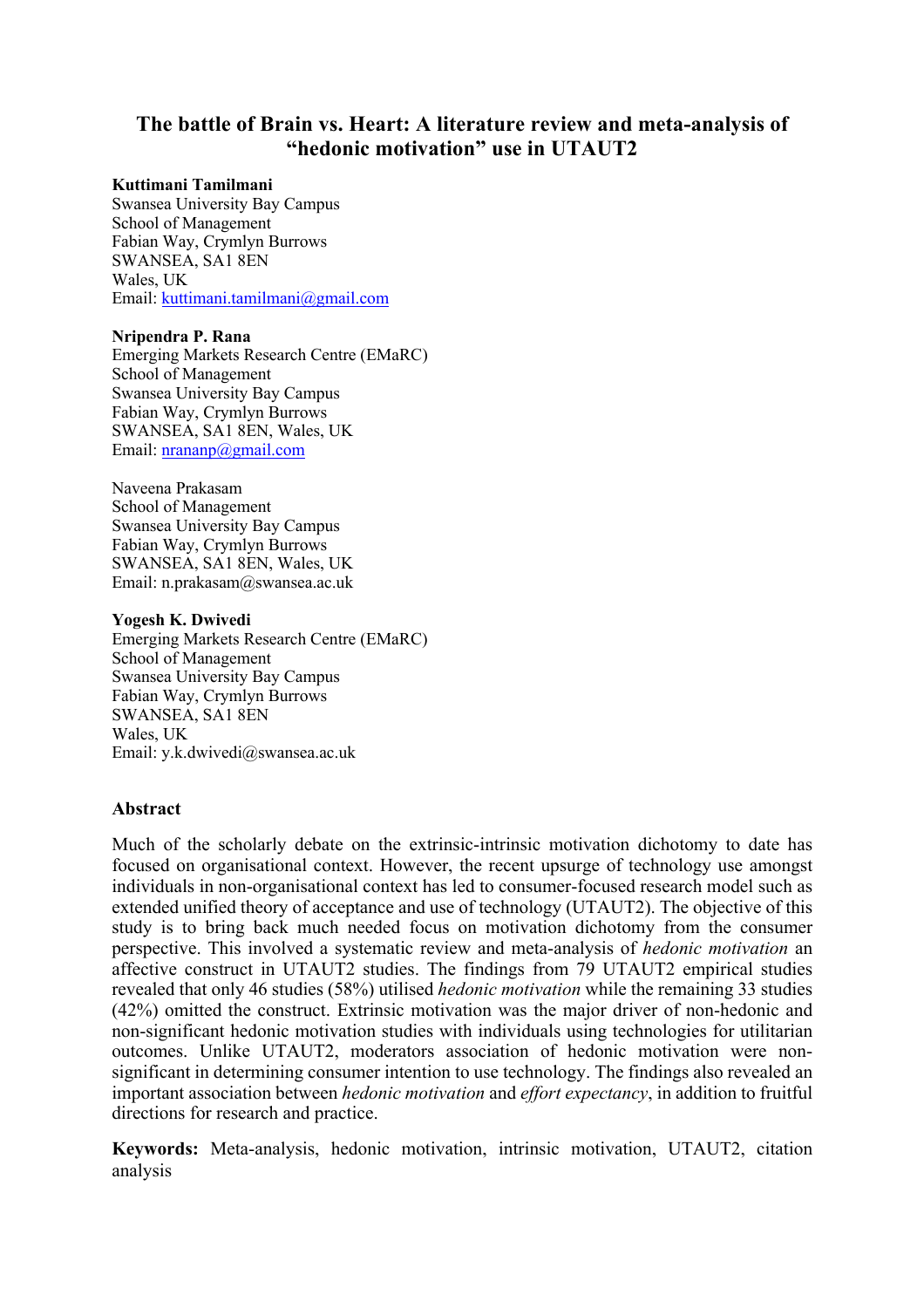# **The battle of Brain vs. Heart: A literature review and meta-analysis of "hedonic motivation" use in UTAUT2**

#### **Kuttimani Tamilmani**

Swansea University Bay Campus School of Management Fabian Way, Crymlyn Burrows SWANSEA, SA1 8EN Wales, UK Email: kuttimani.tamilmani@gmail.com

#### **Nripendra P. Rana**

Emerging Markets Research Centre (EMaRC) School of Management Swansea University Bay Campus Fabian Way, Crymlyn Burrows SWANSEA, SA1 8EN, Wales, UK Email: nrananp@gmail.com

Naveena Prakasam School of Management Swansea University Bay Campus Fabian Way, Crymlyn Burrows SWANSEA, SA1 8EN, Wales, UK Email: n.prakasam@swansea.ac.uk

#### **Yogesh K. Dwivedi**

Emerging Markets Research Centre (EMaRC) School of Management Swansea University Bay Campus Fabian Way, Crymlyn Burrows SWANSEA, SA1 8EN Wales, UK Email: y.k.dwivedi@swansea.ac.uk

### **Abstract**

Much of the scholarly debate on the extrinsic-intrinsic motivation dichotomy to date has focused on organisational context. However, the recent upsurge of technology use amongst individuals in non-organisational context has led to consumer-focused research model such as extended unified theory of acceptance and use of technology (UTAUT2). The objective of this study is to bring back much needed focus on motivation dichotomy from the consumer perspective. This involved a systematic review and meta-analysis of *hedonic motivation* an affective construct in UTAUT2 studies. The findings from 79 UTAUT2 empirical studies revealed that only 46 studies (58%) utilised *hedonic motivation* while the remaining 33 studies (42%) omitted the construct. Extrinsic motivation was the major driver of non-hedonic and non-significant hedonic motivation studies with individuals using technologies for utilitarian outcomes. Unlike UTAUT2, moderators association of hedonic motivation were nonsignificant in determining consumer intention to use technology. The findings also revealed an important association between *hedonic motivation* and *effort expectancy*, in addition to fruitful directions for research and practice.

**Keywords:** Meta-analysis, hedonic motivation, intrinsic motivation, UTAUT2, citation analysis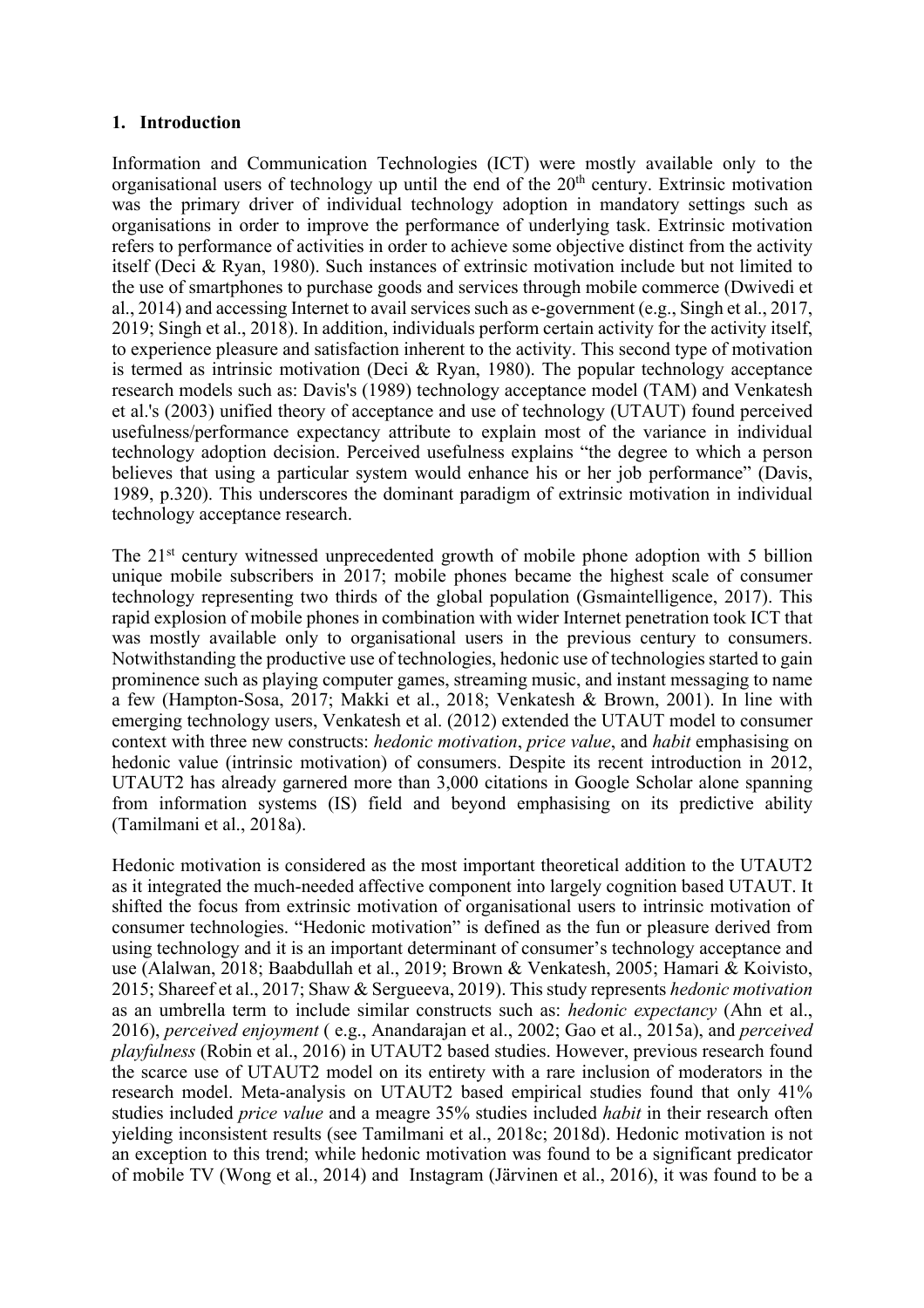#### **1. Introduction**

Information and Communication Technologies (ICT) were mostly available only to the organisational users of technology up until the end of the  $20<sup>th</sup>$  century. Extrinsic motivation was the primary driver of individual technology adoption in mandatory settings such as organisations in order to improve the performance of underlying task. Extrinsic motivation refers to performance of activities in order to achieve some objective distinct from the activity itself (Deci & Ryan, 1980). Such instances of extrinsic motivation include but not limited to the use of smartphones to purchase goods and services through mobile commerce (Dwivedi et al., 2014) and accessing Internet to avail services such as e-government (e.g., Singh et al., 2017, 2019; Singh et al., 2018). In addition, individuals perform certain activity for the activity itself, to experience pleasure and satisfaction inherent to the activity. This second type of motivation is termed as intrinsic motivation (Deci & Ryan, 1980). The popular technology acceptance research models such as: Davis's (1989) technology acceptance model (TAM) and Venkatesh et al.'s (2003) unified theory of acceptance and use of technology (UTAUT) found perceived usefulness/performance expectancy attribute to explain most of the variance in individual technology adoption decision. Perceived usefulness explains "the degree to which a person believes that using a particular system would enhance his or her job performance" (Davis, 1989, p.320). This underscores the dominant paradigm of extrinsic motivation in individual technology acceptance research.

The 21<sup>st</sup> century witnessed unprecedented growth of mobile phone adoption with 5 billion unique mobile subscribers in 2017; mobile phones became the highest scale of consumer technology representing two thirds of the global population (Gsmaintelligence, 2017). This rapid explosion of mobile phones in combination with wider Internet penetration took ICT that was mostly available only to organisational users in the previous century to consumers. Notwithstanding the productive use of technologies, hedonic use of technologies started to gain prominence such as playing computer games, streaming music, and instant messaging to name a few (Hampton-Sosa, 2017; Makki et al., 2018; Venkatesh & Brown, 2001). In line with emerging technology users, Venkatesh et al. (2012) extended the UTAUT model to consumer context with three new constructs: *hedonic motivation*, *price value*, and *habit* emphasising on hedonic value (intrinsic motivation) of consumers. Despite its recent introduction in 2012, UTAUT2 has already garnered more than 3,000 citations in Google Scholar alone spanning from information systems (IS) field and beyond emphasising on its predictive ability (Tamilmani et al., 2018a).

Hedonic motivation is considered as the most important theoretical addition to the UTAUT2 as it integrated the much-needed affective component into largely cognition based UTAUT. It shifted the focus from extrinsic motivation of organisational users to intrinsic motivation of consumer technologies. "Hedonic motivation" is defined as the fun or pleasure derived from using technology and it is an important determinant of consumer's technology acceptance and use (Alalwan, 2018; Baabdullah et al., 2019; Brown & Venkatesh, 2005; Hamari & Koivisto, 2015; Shareef et al., 2017; Shaw & Sergueeva, 2019). This study represents *hedonic motivation* as an umbrella term to include similar constructs such as: *hedonic expectancy* (Ahn et al., 2016), *perceived enjoyment* ( e.g., Anandarajan et al., 2002; Gao et al., 2015a), and *perceived playfulness* (Robin et al., 2016) in UTAUT2 based studies. However, previous research found the scarce use of UTAUT2 model on its entirety with a rare inclusion of moderators in the research model. Meta-analysis on UTAUT2 based empirical studies found that only 41% studies included *price value* and a meagre 35% studies included *habit* in their research often yielding inconsistent results (see Tamilmani et al., 2018c; 2018d). Hedonic motivation is not an exception to this trend; while hedonic motivation was found to be a significant predicator of mobile TV (Wong et al., 2014) and Instagram (Järvinen et al., 2016), it was found to be a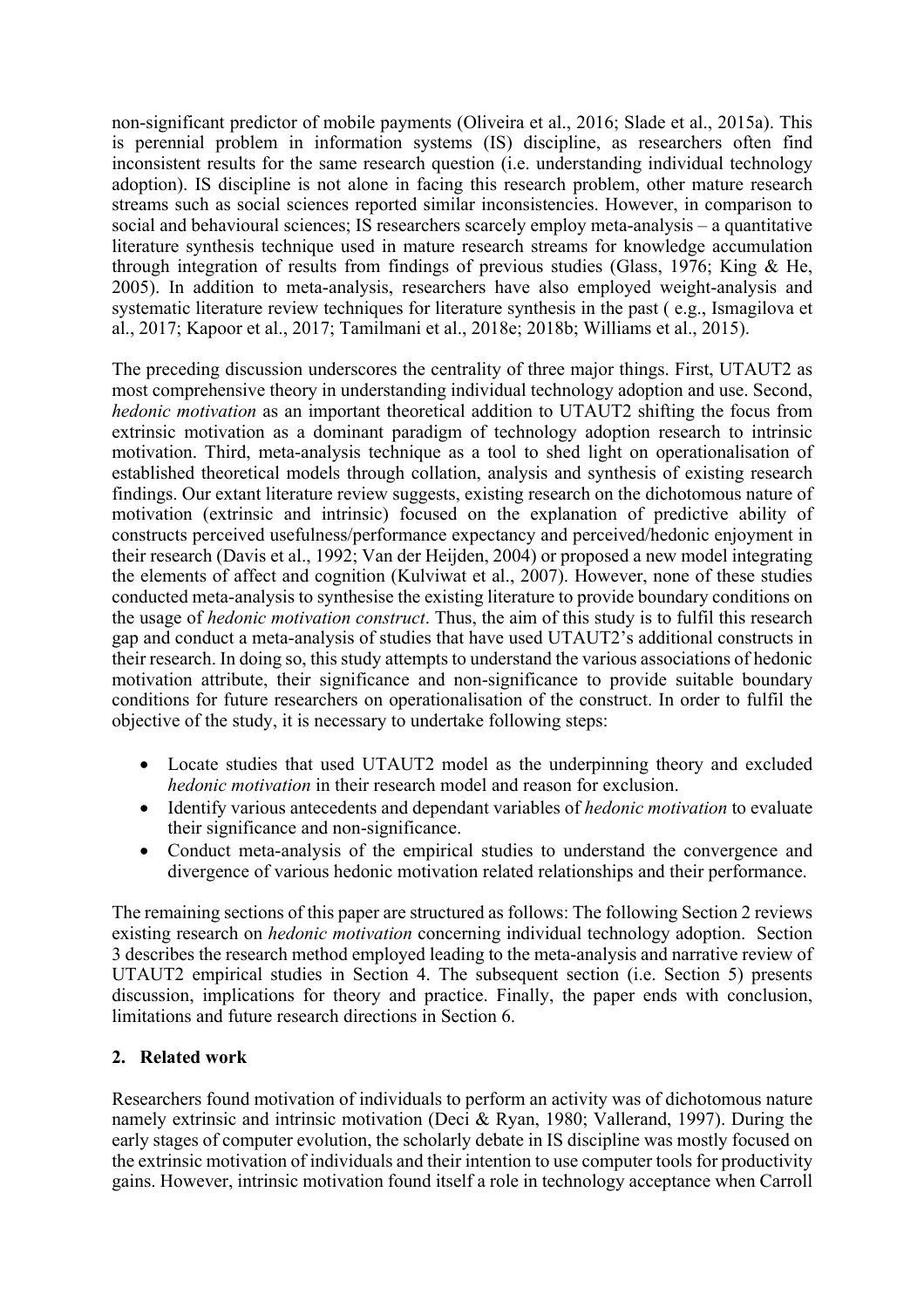non-significant predictor of mobile payments (Oliveira et al., 2016; Slade et al., 2015a). This is perennial problem in information systems (IS) discipline, as researchers often find inconsistent results for the same research question (i.e. understanding individual technology adoption). IS discipline is not alone in facing this research problem, other mature research streams such as social sciences reported similar inconsistencies. However, in comparison to social and behavioural sciences; IS researchers scarcely employ meta-analysis – a quantitative literature synthesis technique used in mature research streams for knowledge accumulation through integration of results from findings of previous studies (Glass, 1976; King & He, 2005). In addition to meta-analysis, researchers have also employed weight-analysis and systematic literature review techniques for literature synthesis in the past ( e.g., Ismagilova et al., 2017; Kapoor et al., 2017; Tamilmani et al., 2018e; 2018b; Williams et al., 2015).

The preceding discussion underscores the centrality of three major things. First, UTAUT2 as most comprehensive theory in understanding individual technology adoption and use. Second, *hedonic motivation* as an important theoretical addition to UTAUT2 shifting the focus from extrinsic motivation as a dominant paradigm of technology adoption research to intrinsic motivation. Third, meta-analysis technique as a tool to shed light on operationalisation of established theoretical models through collation, analysis and synthesis of existing research findings. Our extant literature review suggests, existing research on the dichotomous nature of motivation (extrinsic and intrinsic) focused on the explanation of predictive ability of constructs perceived usefulness/performance expectancy and perceived/hedonic enjoyment in their research (Davis et al., 1992; Van der Heijden, 2004) or proposed a new model integrating the elements of affect and cognition (Kulviwat et al., 2007). However, none of these studies conducted meta-analysis to synthesise the existing literature to provide boundary conditions on the usage of *hedonic motivation construct*. Thus, the aim of this study is to fulfil this research gap and conduct a meta-analysis of studies that have used UTAUT2's additional constructs in their research. In doing so, this study attempts to understand the various associations of hedonic motivation attribute, their significance and non-significance to provide suitable boundary conditions for future researchers on operationalisation of the construct. In order to fulfil the objective of the study, it is necessary to undertake following steps:

- Locate studies that used UTAUT2 model as the underpinning theory and excluded *hedonic motivation* in their research model and reason for exclusion.
- Identify various antecedents and dependant variables of *hedonic motivation* to evaluate their significance and non-significance.
- Conduct meta-analysis of the empirical studies to understand the convergence and divergence of various hedonic motivation related relationships and their performance.

The remaining sections of this paper are structured as follows: The following Section 2 reviews existing research on *hedonic motivation* concerning individual technology adoption. Section 3 describes the research method employed leading to the meta-analysis and narrative review of UTAUT2 empirical studies in Section 4. The subsequent section (i.e. Section 5) presents discussion, implications for theory and practice. Finally, the paper ends with conclusion, limitations and future research directions in Section 6.

# **2. Related work**

Researchers found motivation of individuals to perform an activity was of dichotomous nature namely extrinsic and intrinsic motivation (Deci & Ryan, 1980; Vallerand, 1997). During the early stages of computer evolution, the scholarly debate in IS discipline was mostly focused on the extrinsic motivation of individuals and their intention to use computer tools for productivity gains. However, intrinsic motivation found itself a role in technology acceptance when Carroll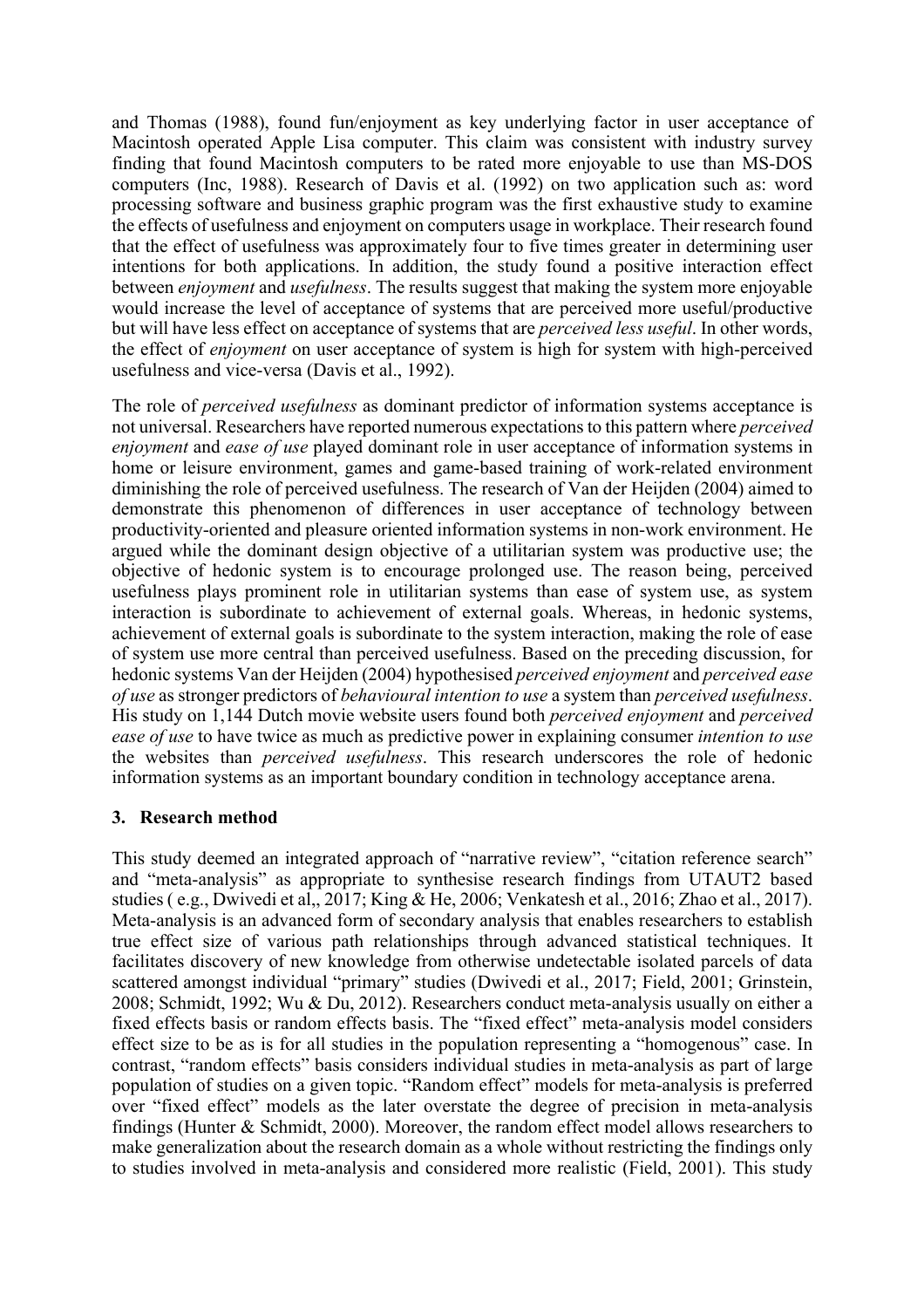and Thomas (1988), found fun/enjoyment as key underlying factor in user acceptance of Macintosh operated Apple Lisa computer. This claim was consistent with industry survey finding that found Macintosh computers to be rated more enjoyable to use than MS-DOS computers (Inc, 1988). Research of Davis et al. (1992) on two application such as: word processing software and business graphic program was the first exhaustive study to examine the effects of usefulness and enjoyment on computers usage in workplace. Their research found that the effect of usefulness was approximately four to five times greater in determining user intentions for both applications. In addition, the study found a positive interaction effect between *enjoyment* and *usefulness*. The results suggest that making the system more enjoyable would increase the level of acceptance of systems that are perceived more useful/productive but will have less effect on acceptance of systems that are *perceived less useful*. In other words, the effect of *enjoyment* on user acceptance of system is high for system with high-perceived usefulness and vice-versa (Davis et al., 1992).

The role of *perceived usefulness* as dominant predictor of information systems acceptance is not universal. Researchers have reported numerous expectations to this pattern where *perceived enjoyment* and *ease of use* played dominant role in user acceptance of information systems in home or leisure environment, games and game-based training of work-related environment diminishing the role of perceived usefulness. The research of Van der Heijden (2004) aimed to demonstrate this phenomenon of differences in user acceptance of technology between productivity-oriented and pleasure oriented information systems in non-work environment. He argued while the dominant design objective of a utilitarian system was productive use; the objective of hedonic system is to encourage prolonged use. The reason being, perceived usefulness plays prominent role in utilitarian systems than ease of system use, as system interaction is subordinate to achievement of external goals. Whereas, in hedonic systems, achievement of external goals is subordinate to the system interaction, making the role of ease of system use more central than perceived usefulness. Based on the preceding discussion, for hedonic systems Van der Heijden (2004) hypothesised *perceived enjoyment* and *perceived ease of use* as stronger predictors of *behavioural intention to use* a system than *perceived usefulness*. His study on 1,144 Dutch movie website users found both *perceived enjoyment* and *perceived ease of use* to have twice as much as predictive power in explaining consumer *intention to use* the websites than *perceived usefulness*. This research underscores the role of hedonic information systems as an important boundary condition in technology acceptance arena.

# **3. Research method**

This study deemed an integrated approach of "narrative review", "citation reference search" and "meta-analysis" as appropriate to synthesise research findings from UTAUT2 based studies ( e.g., Dwivedi et al,, 2017; King & He, 2006; Venkatesh et al., 2016; Zhao et al., 2017). Meta-analysis is an advanced form of secondary analysis that enables researchers to establish true effect size of various path relationships through advanced statistical techniques. It facilitates discovery of new knowledge from otherwise undetectable isolated parcels of data scattered amongst individual "primary" studies (Dwivedi et al., 2017; Field, 2001; Grinstein, 2008; Schmidt, 1992; Wu & Du, 2012). Researchers conduct meta-analysis usually on either a fixed effects basis or random effects basis. The "fixed effect" meta-analysis model considers effect size to be as is for all studies in the population representing a "homogenous" case. In contrast, "random effects" basis considers individual studies in meta-analysis as part of large population of studies on a given topic. "Random effect" models for meta-analysis is preferred over "fixed effect" models as the later overstate the degree of precision in meta-analysis findings (Hunter & Schmidt, 2000). Moreover, the random effect model allows researchers to make generalization about the research domain as a whole without restricting the findings only to studies involved in meta-analysis and considered more realistic (Field, 2001). This study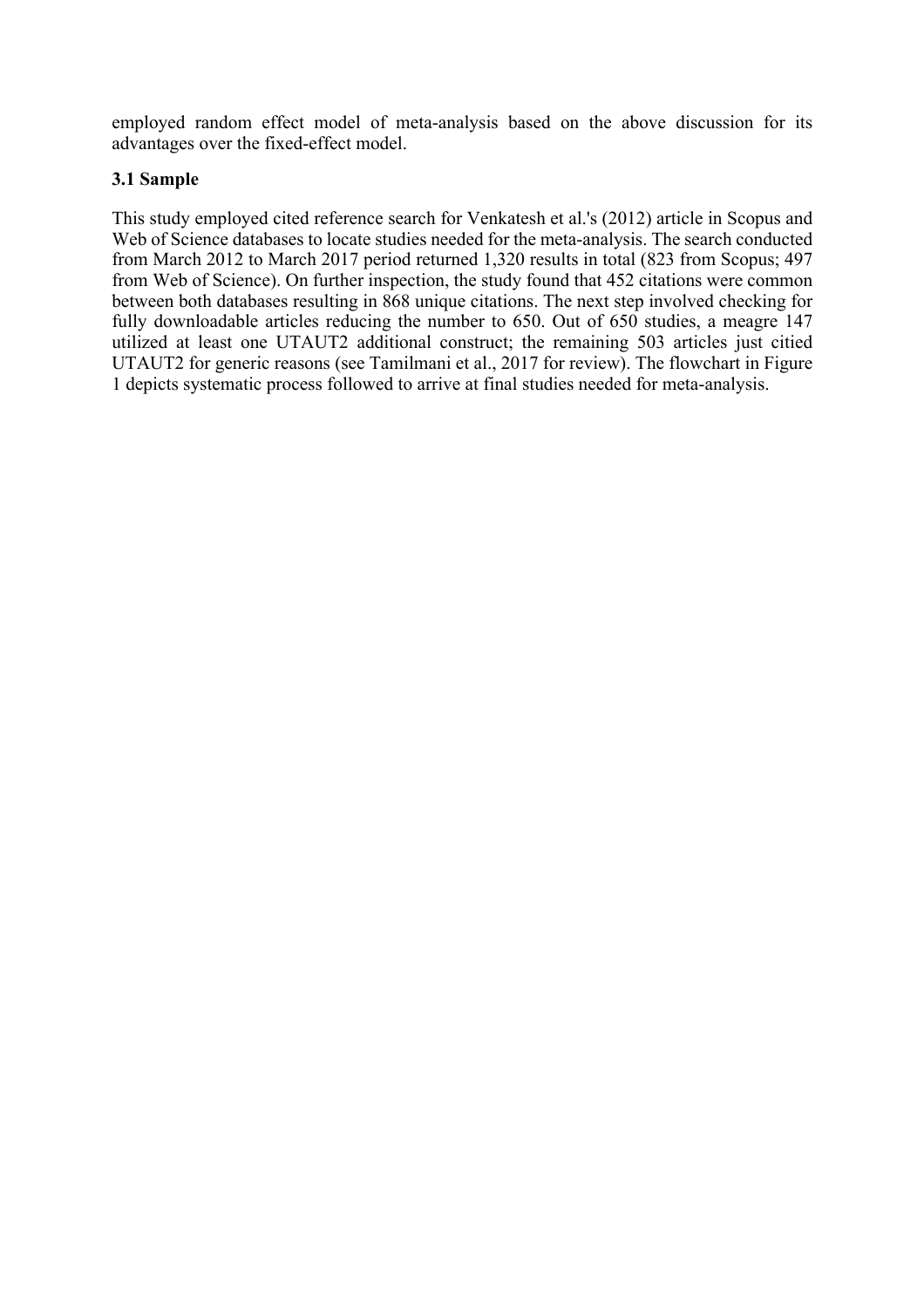employed random effect model of meta-analysis based on the above discussion for its advantages over the fixed-effect model.

## **3.1 Sample**

This study employed cited reference search for Venkatesh et al.'s (2012) article in Scopus and Web of Science databases to locate studies needed for the meta-analysis. The search conducted from March 2012 to March 2017 period returned 1,320 results in total (823 from Scopus; 497 from Web of Science). On further inspection, the study found that 452 citations were common between both databases resulting in 868 unique citations. The next step involved checking for fully downloadable articles reducing the number to 650. Out of 650 studies, a meagre 147 utilized at least one UTAUT2 additional construct; the remaining 503 articles just citied UTAUT2 for generic reasons (see Tamilmani et al., 2017 for review). The flowchart in Figure 1 depicts systematic process followed to arrive at final studies needed for meta-analysis.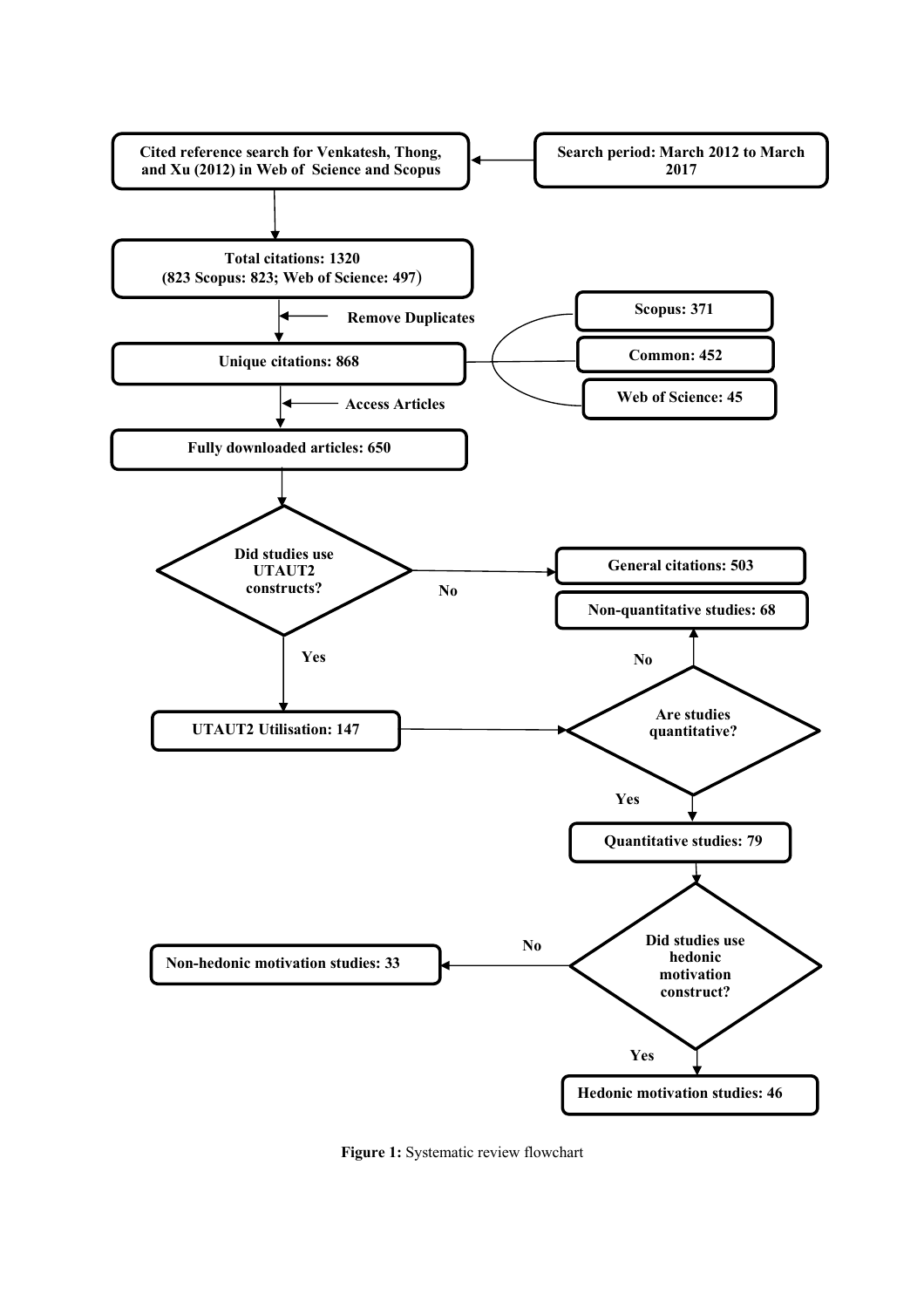

**Figure 1:** Systematic review flowchart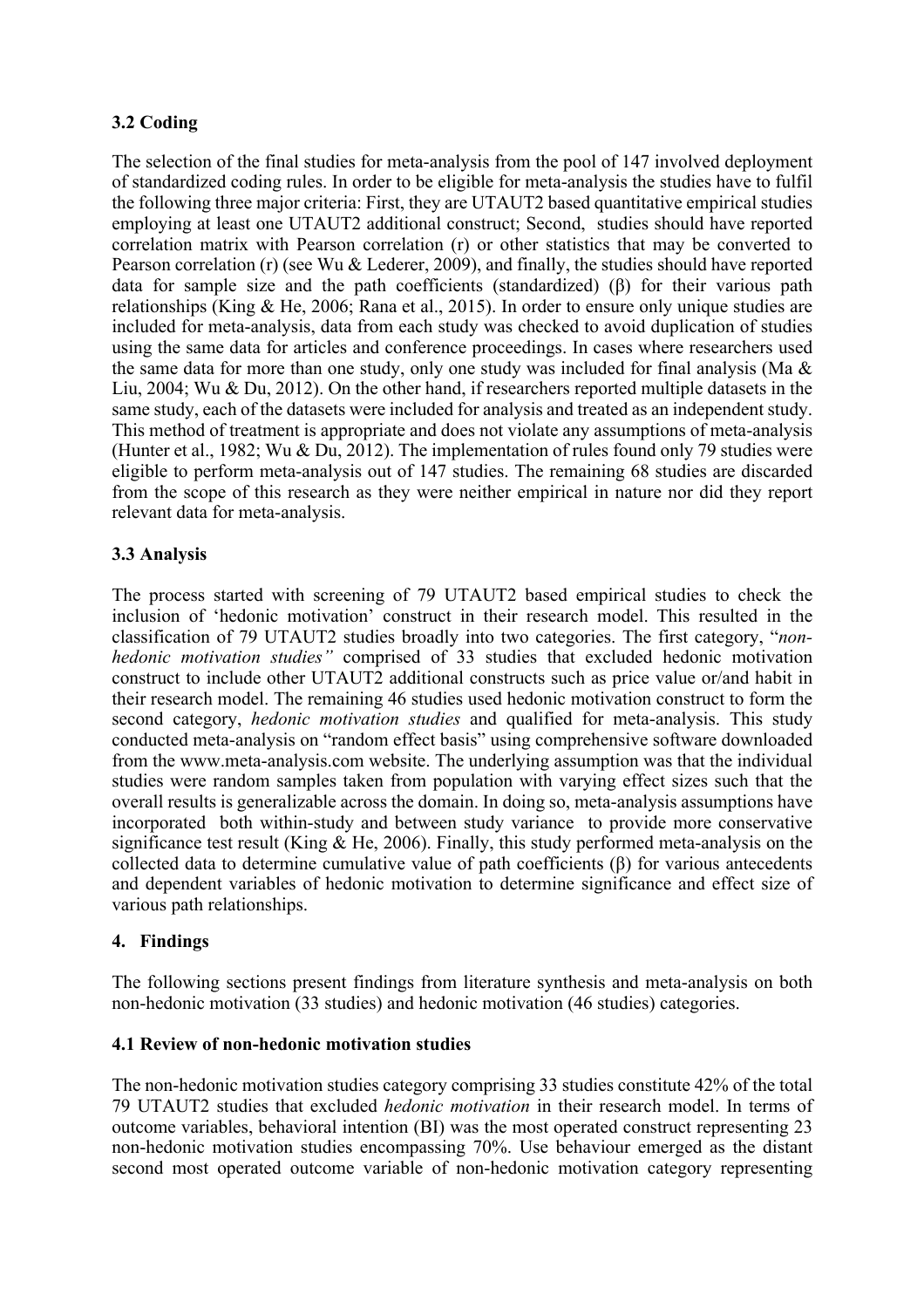# **3.2 Coding**

The selection of the final studies for meta-analysis from the pool of 147 involved deployment of standardized coding rules. In order to be eligible for meta-analysis the studies have to fulfil the following three major criteria: First, they are UTAUT2 based quantitative empirical studies employing at least one UTAUT2 additional construct; Second, studies should have reported correlation matrix with Pearson correlation (r) or other statistics that may be converted to Pearson correlation (r) (see Wu & Lederer, 2009), and finally, the studies should have reported data for sample size and the path coefficients (standardized) (β) for their various path relationships (King & He, 2006; Rana et al., 2015). In order to ensure only unique studies are included for meta-analysis, data from each study was checked to avoid duplication of studies using the same data for articles and conference proceedings. In cases where researchers used the same data for more than one study, only one study was included for final analysis (Ma & Liu, 2004; Wu & Du, 2012). On the other hand, if researchers reported multiple datasets in the same study, each of the datasets were included for analysis and treated as an independent study. This method of treatment is appropriate and does not violate any assumptions of meta-analysis (Hunter et al., 1982; Wu & Du, 2012). The implementation of rules found only 79 studies were eligible to perform meta-analysis out of 147 studies. The remaining 68 studies are discarded from the scope of this research as they were neither empirical in nature nor did they report relevant data for meta-analysis.

# **3.3 Analysis**

The process started with screening of 79 UTAUT2 based empirical studies to check the inclusion of 'hedonic motivation' construct in their research model. This resulted in the classification of 79 UTAUT2 studies broadly into two categories. The first category, "*nonhedonic motivation studies"* comprised of 33 studies that excluded hedonic motivation construct to include other UTAUT2 additional constructs such as price value or/and habit in their research model. The remaining 46 studies used hedonic motivation construct to form the second category, *hedonic motivation studies* and qualified for meta-analysis. This study conducted meta-analysis on "random effect basis" using comprehensive software downloaded from the www.meta-analysis.com website. The underlying assumption was that the individual studies were random samples taken from population with varying effect sizes such that the overall results is generalizable across the domain. In doing so, meta-analysis assumptions have incorporated both within-study and between study variance to provide more conservative significance test result (King & He, 2006). Finally, this study performed meta-analysis on the collected data to determine cumulative value of path coefficients (β) for various antecedents and dependent variables of hedonic motivation to determine significance and effect size of various path relationships.

# **4. Findings**

The following sections present findings from literature synthesis and meta-analysis on both non-hedonic motivation (33 studies) and hedonic motivation (46 studies) categories.

### **4.1 Review of non-hedonic motivation studies**

The non-hedonic motivation studies category comprising 33 studies constitute 42% of the total 79 UTAUT2 studies that excluded *hedonic motivation* in their research model. In terms of outcome variables, behavioral intention (BI) was the most operated construct representing 23 non-hedonic motivation studies encompassing 70%. Use behaviour emerged as the distant second most operated outcome variable of non-hedonic motivation category representing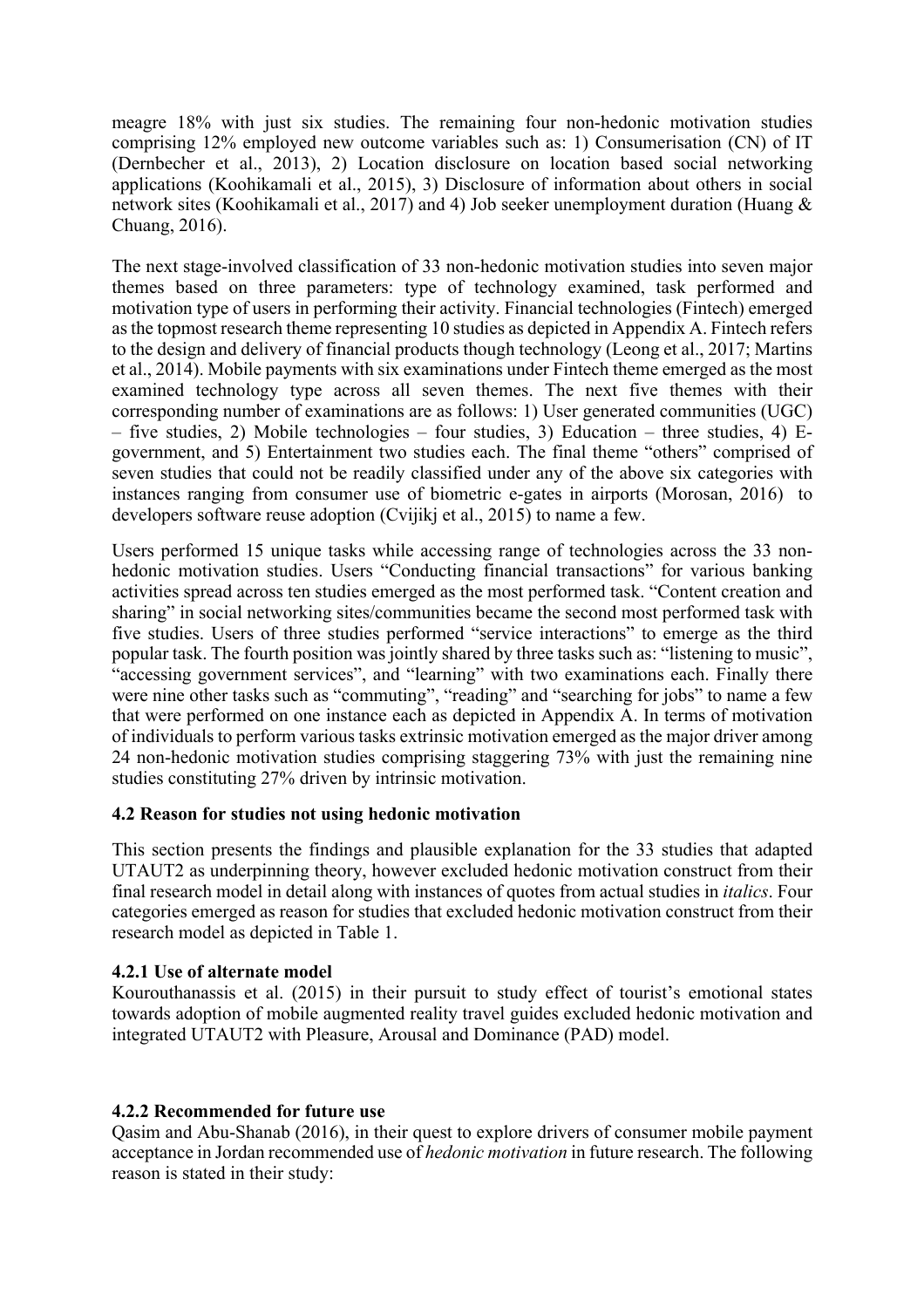meagre 18% with just six studies. The remaining four non-hedonic motivation studies comprising 12% employed new outcome variables such as: 1) Consumerisation (CN) of IT (Dernbecher et al., 2013), 2) Location disclosure on location based social networking applications (Koohikamali et al., 2015), 3) Disclosure of information about others in social network sites (Koohikamali et al., 2017) and 4) Job seeker unemployment duration (Huang & Chuang, 2016).

The next stage-involved classification of 33 non-hedonic motivation studies into seven major themes based on three parameters: type of technology examined, task performed and motivation type of users in performing their activity. Financial technologies (Fintech) emerged as the topmost research theme representing 10 studies as depicted in Appendix A. Fintech refers to the design and delivery of financial products though technology (Leong et al., 2017; Martins et al., 2014). Mobile payments with six examinations under Fintech theme emerged as the most examined technology type across all seven themes. The next five themes with their corresponding number of examinations are as follows: 1) User generated communities (UGC) – five studies, 2) Mobile technologies – four studies, 3) Education – three studies, 4) Egovernment, and 5) Entertainment two studies each. The final theme "others" comprised of seven studies that could not be readily classified under any of the above six categories with instances ranging from consumer use of biometric e-gates in airports (Morosan, 2016) to developers software reuse adoption (Cvijikj et al., 2015) to name a few.

Users performed 15 unique tasks while accessing range of technologies across the 33 nonhedonic motivation studies. Users "Conducting financial transactions" for various banking activities spread across ten studies emerged as the most performed task. "Content creation and sharing" in social networking sites/communities became the second most performed task with five studies. Users of three studies performed "service interactions" to emerge as the third popular task. The fourth position was jointly shared by three tasks such as: "listening to music", "accessing government services", and "learning" with two examinations each. Finally there were nine other tasks such as "commuting", "reading" and "searching for jobs" to name a few that were performed on one instance each as depicted in Appendix A. In terms of motivation of individuals to perform various tasks extrinsic motivation emerged as the major driver among 24 non-hedonic motivation studies comprising staggering 73% with just the remaining nine studies constituting 27% driven by intrinsic motivation.

### **4.2 Reason for studies not using hedonic motivation**

This section presents the findings and plausible explanation for the 33 studies that adapted UTAUT2 as underpinning theory, however excluded hedonic motivation construct from their final research model in detail along with instances of quotes from actual studies in *italics*. Four categories emerged as reason for studies that excluded hedonic motivation construct from their research model as depicted in Table 1.

### **4.2.1 Use of alternate model**

Kourouthanassis et al. (2015) in their pursuit to study effect of tourist's emotional states towards adoption of mobile augmented reality travel guides excluded hedonic motivation and integrated UTAUT2 with Pleasure, Arousal and Dominance (PAD) model.

### **4.2.2 Recommended for future use**

Qasim and Abu-Shanab (2016), in their quest to explore drivers of consumer mobile payment acceptance in Jordan recommended use of *hedonic motivation* in future research. The following reason is stated in their study: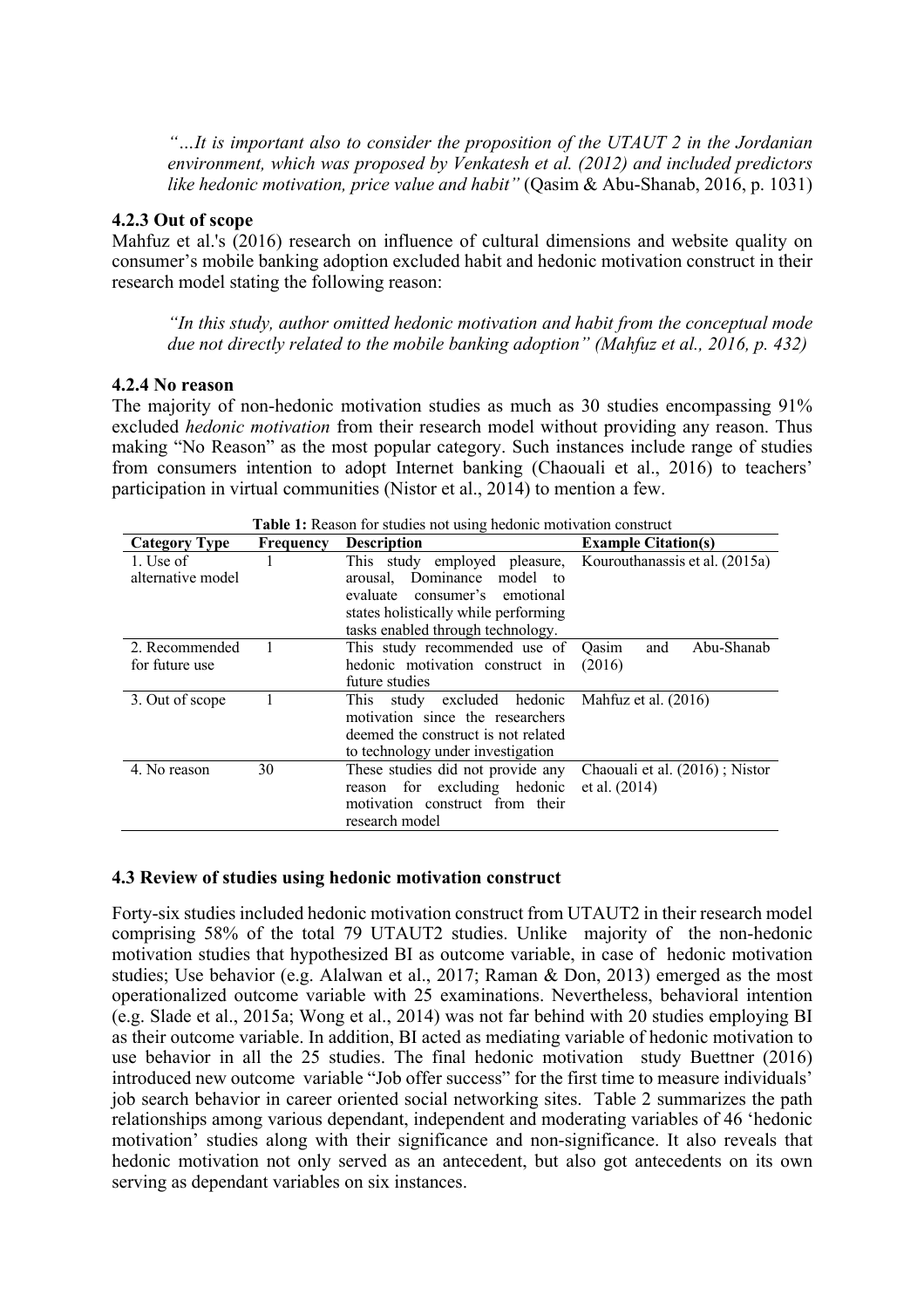*"…It is important also to consider the proposition of the UTAUT 2 in the Jordanian environment, which was proposed by Venkatesh et al. (2012) and included predictors like hedonic motivation, price value and habit"* (Qasim & Abu-Shanab, 2016, p. 1031)

### **4.2.3 Out of scope**

Mahfuz et al.'s (2016) research on influence of cultural dimensions and website quality on consumer's mobile banking adoption excluded habit and hedonic motivation construct in their research model stating the following reason:

*"In this study, author omitted hedonic motivation and habit from the conceptual mode due not directly related to the mobile banking adoption" (Mahfuz et al., 2016, p. 432)*

### **4.2.4 No reason**

The majority of non-hedonic motivation studies as much as 30 studies encompassing 91% excluded *hedonic motivation* from their research model without providing any reason. Thus making "No Reason" as the most popular category. Such instances include range of studies from consumers intention to adopt Internet banking (Chaouali et al., 2016) to teachers' participation in virtual communities (Nistor et al., 2014) to mention a few.

| <b>Category Type</b> | Frequency | <b>Description</b>                                           | <b>Example Citation(s)</b>     |  |
|----------------------|-----------|--------------------------------------------------------------|--------------------------------|--|
| 1. Use of            |           | This study employed pleasure, Kourouthanassis et al. (2015a) |                                |  |
| alternative model    |           | arousal. Dominance model to                                  |                                |  |
|                      |           | evaluate consumer's emotional                                |                                |  |
|                      |           | states holistically while performing                         |                                |  |
|                      |           | tasks enabled through technology.                            |                                |  |
| 2. Recommended       |           | This study recommended use of                                | Abu-Shanab<br>Oasim<br>and     |  |
| for future use       |           | hedonic motivation construct in                              | (2016)                         |  |
|                      |           | future studies                                               |                                |  |
| 3. Out of scope      |           | study excluded hedonic<br>This                               | Mahfuz et al. (2016)           |  |
|                      |           | motivation since the researchers                             |                                |  |
|                      |           | deemed the construct is not related                          |                                |  |
|                      |           | to technology under investigation                            |                                |  |
| 4. No reason         | 30        | These studies did not provide any                            | Chaouali et al. (2016); Nistor |  |
|                      |           | reason for excluding hedonic                                 | et al. $(2014)$                |  |
|                      |           | motivation construct from their                              |                                |  |
|                      |           | research model                                               |                                |  |

**Table 1:** Reason for studies not using hedonic motivation construct

### **4.3 Review of studies using hedonic motivation construct**

Forty-six studies included hedonic motivation construct from UTAUT2 in their research model comprising 58% of the total 79 UTAUT2 studies. Unlike majority of the non-hedonic motivation studies that hypothesized BI as outcome variable, in case of hedonic motivation studies; Use behavior (e.g. Alalwan et al., 2017; Raman & Don, 2013) emerged as the most operationalized outcome variable with 25 examinations. Nevertheless, behavioral intention (e.g. Slade et al., 2015a; Wong et al., 2014) was not far behind with 20 studies employing BI as their outcome variable. In addition, BI acted as mediating variable of hedonic motivation to use behavior in all the 25 studies. The final hedonic motivation study Buettner (2016) introduced new outcome variable "Job offer success" for the first time to measure individuals' job search behavior in career oriented social networking sites. Table 2 summarizes the path relationships among various dependant, independent and moderating variables of 46 'hedonic motivation' studies along with their significance and non-significance. It also reveals that hedonic motivation not only served as an antecedent, but also got antecedents on its own serving as dependant variables on six instances.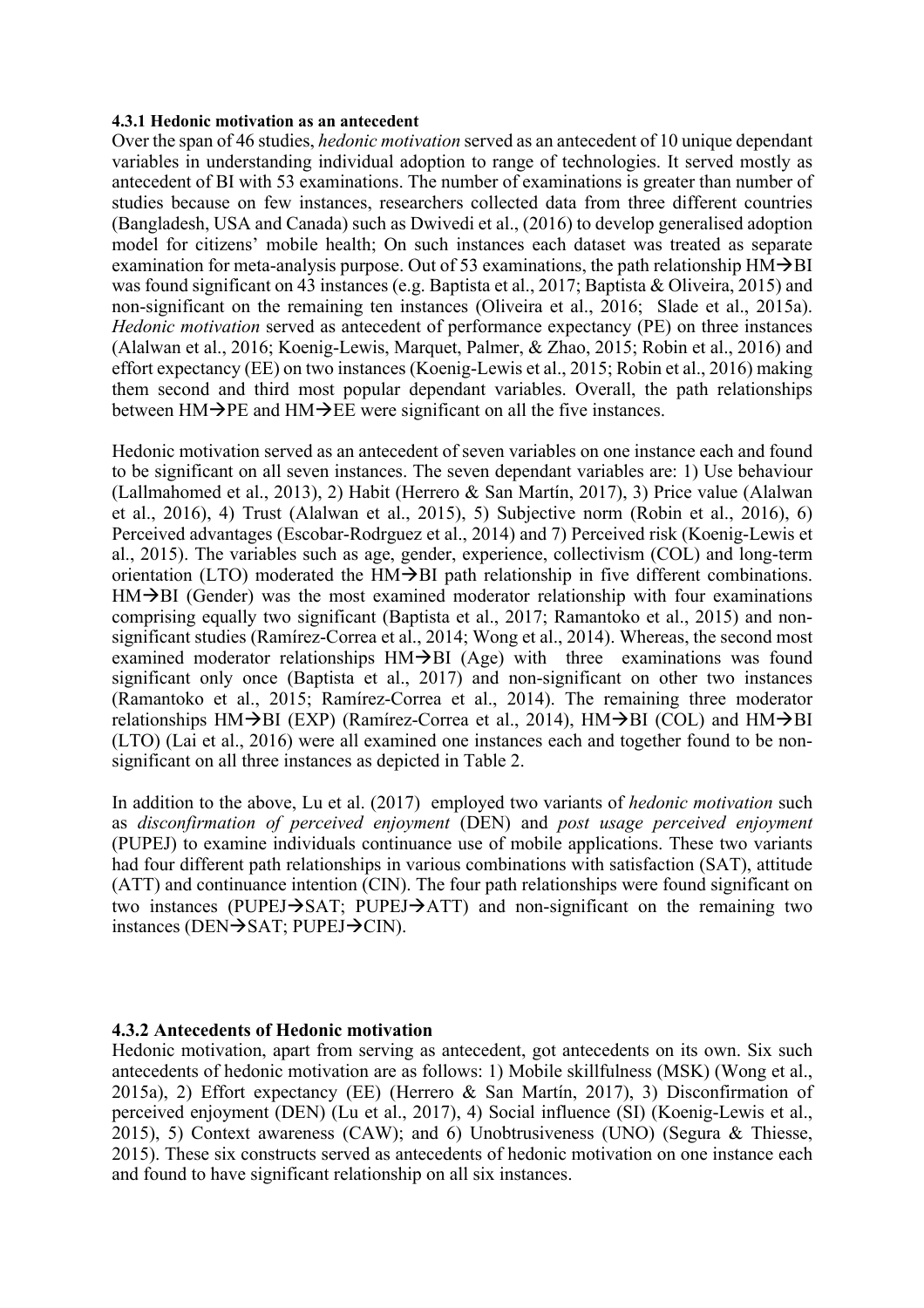#### **4.3.1 Hedonic motivation as an antecedent**

Over the span of 46 studies, *hedonic motivation* served as an antecedent of 10 unique dependant variables in understanding individual adoption to range of technologies. It served mostly as antecedent of BI with 53 examinations. The number of examinations is greater than number of studies because on few instances, researchers collected data from three different countries (Bangladesh, USA and Canada) such as Dwivedi et al., (2016) to develop generalised adoption model for citizens' mobile health; On such instances each dataset was treated as separate examination for meta-analysis purpose. Out of 53 examinations, the path relationship  $HM\rightarrow BH$ was found significant on 43 instances (e.g. Baptista et al., 2017; Baptista & Oliveira, 2015) and non-significant on the remaining ten instances (Oliveira et al., 2016; Slade et al., 2015a). *Hedonic motivation* served as antecedent of performance expectancy (PE) on three instances (Alalwan et al., 2016; Koenig-Lewis, Marquet, Palmer, & Zhao, 2015; Robin et al., 2016) and effort expectancy (EE) on two instances (Koenig-Lewis et al., 2015; Robin et al., 2016) making them second and third most popular dependant variables. Overall, the path relationships between  $HM\rightarrow PE$  and  $HM\rightarrow EE$  were significant on all the five instances.

Hedonic motivation served as an antecedent of seven variables on one instance each and found to be significant on all seven instances. The seven dependant variables are: 1) Use behaviour (Lallmahomed et al., 2013), 2) Habit (Herrero & San Martín, 2017), 3) Price value (Alalwan et al., 2016), 4) Trust (Alalwan et al., 2015), 5) Subjective norm (Robin et al., 2016), 6) Perceived advantages (Escobar-Rodrguez et al., 2014) and 7) Perceived risk (Koenig-Lewis et al., 2015). The variables such as age, gender, experience, collectivism (COL) and long-term orientation (LTO) moderated the  $HM\rightarrow BH$  path relationship in five different combinations.  $HM\rightarrow BH$  (Gender) was the most examined moderator relationship with four examinations comprising equally two significant (Baptista et al., 2017; Ramantoko et al., 2015) and nonsignificant studies (Ramírez-Correa et al., 2014; Wong et al., 2014). Whereas, the second most examined moderator relationships  $HM\rightarrow BH$  (Age) with three examinations was found significant only once (Baptista et al., 2017) and non-significant on other two instances (Ramantoko et al., 2015; Ramírez-Correa et al., 2014). The remaining three moderator relationships  $HM\rightarrow BH$  (EXP) (Ramírez-Correa et al., 2014),  $HM\rightarrow BH$  (COL) and  $HM\rightarrow BH$ (LTO) (Lai et al., 2016) were all examined one instances each and together found to be nonsignificant on all three instances as depicted in Table 2.

In addition to the above, Lu et al. (2017) employed two variants of *hedonic motivation* such as *disconfirmation of perceived enjoyment* (DEN) and *post usage perceived enjoyment* (PUPEJ) to examine individuals continuance use of mobile applications. These two variants had four different path relationships in various combinations with satisfaction (SAT), attitude (ATT) and continuance intention (CIN). The four path relationships were found significant on two instances (PUPEJ $\rightarrow$ SAT; PUPEJ $\rightarrow$ ATT) and non-significant on the remaining two instances (DEN $\rightarrow$ SAT; PUPEJ $\rightarrow$ CIN).

#### **4.3.2 Antecedents of Hedonic motivation**

Hedonic motivation, apart from serving as antecedent, got antecedents on its own. Six such antecedents of hedonic motivation are as follows: 1) Mobile skillfulness (MSK) (Wong et al., 2015a), 2) Effort expectancy (EE) (Herrero & San Martín, 2017), 3) Disconfirmation of perceived enjoyment (DEN) (Lu et al., 2017), 4) Social influence (SI) (Koenig-Lewis et al., 2015), 5) Context awareness (CAW); and 6) Unobtrusiveness (UNO) (Segura & Thiesse, 2015). These six constructs served as antecedents of hedonic motivation on one instance each and found to have significant relationship on all six instances.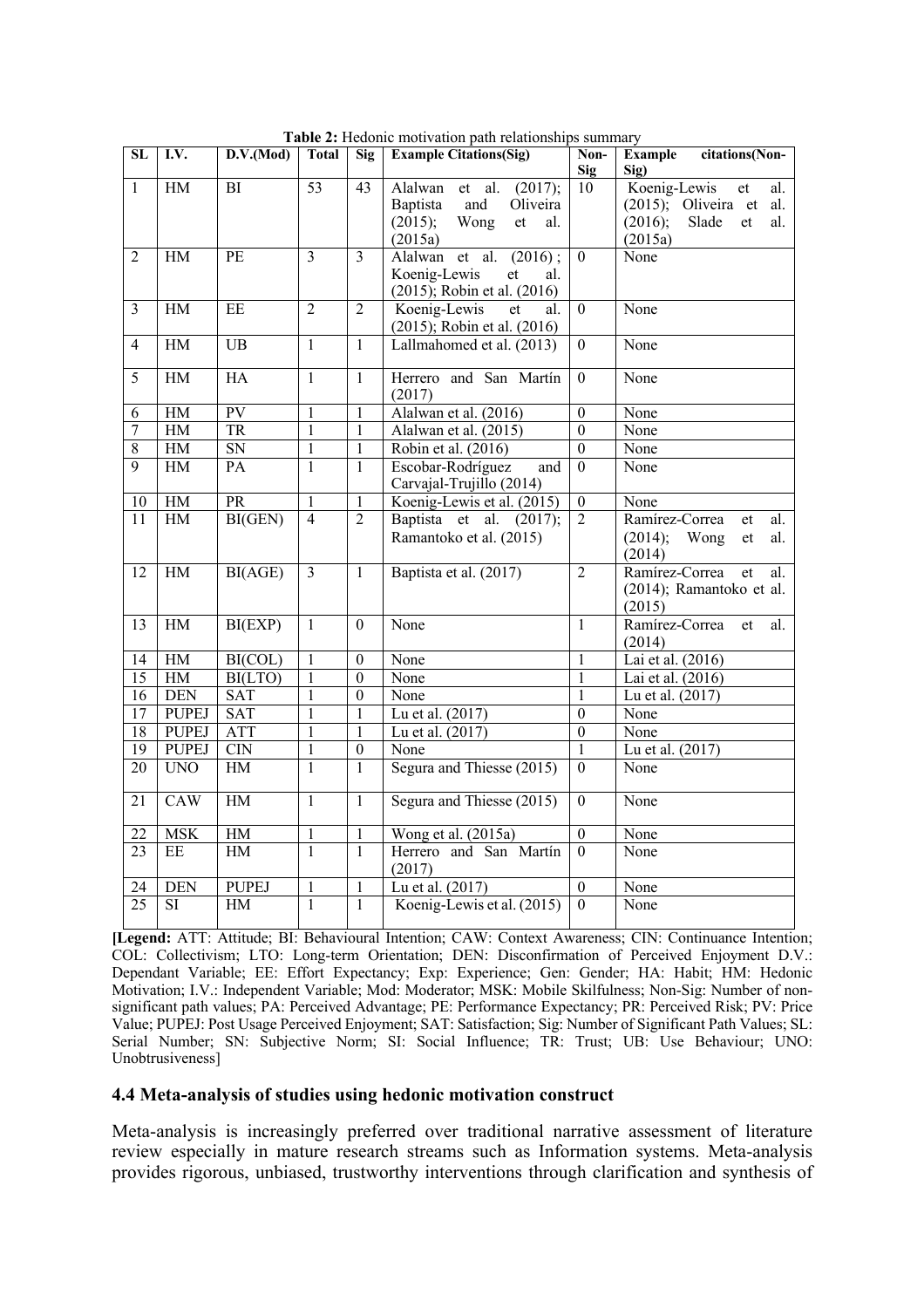| $\overline{\text{SL}}$ | I.V.                    | D.V.(Mod)           | <b>Total</b>                   | Sig               | <b>Example Citations(Sig)</b><br>Non- |                                    | <b>Example</b><br>citations(Non-       |
|------------------------|-------------------------|---------------------|--------------------------------|-------------------|---------------------------------------|------------------------------------|----------------------------------------|
| $\mathbf{1}$           | $\rm HM$                | BI                  | 53                             | 43                | Alalwan<br>et al.<br>(2017);          | <b>Sig</b><br>10                   | Sig)<br>Koenig-Lewis<br>et<br>al.      |
|                        |                         |                     |                                |                   | Baptista<br>and<br>Oliveira           |                                    | $(2015)$ ; Oliveira et<br>al.          |
|                        |                         |                     |                                |                   | Wong<br>(2015);<br>et<br>al.          |                                    | (2016);<br>Slade<br>et<br>al.          |
|                        |                         |                     |                                |                   | (2015a)                               |                                    | (2015a)                                |
| $\overline{2}$         | HM                      | PE                  | $\overline{3}$                 | $\overline{3}$    | Alalwan et al.<br>(2016);             | $\overline{0}$                     | None                                   |
|                        |                         |                     |                                |                   | Koenig-Lewis<br>et<br>al.             |                                    |                                        |
|                        |                         |                     |                                |                   | (2015); Robin et al. (2016)           |                                    |                                        |
| $\mathfrak{Z}$         | HM                      | EE                  | $\overline{2}$                 | $\overline{2}$    | Koenig-Lewis<br>al.<br>et             | $\overline{0}$                     | None                                   |
|                        |                         |                     |                                |                   | (2015); Robin et al. (2016)           |                                    |                                        |
| 4                      | HM                      | $\overline{UB}$     | $\mathbf{1}$                   | $\mathbf{1}$      | Lallmahomed et al. (2013)             | $\theta$                           | None                                   |
|                        |                         |                     |                                |                   |                                       |                                    |                                        |
| $\overline{5}$         | HM                      | <b>HA</b>           | $\overline{1}$                 | $\mathbf{1}$      | Herrero and San Martín                | $\overline{0}$                     | None                                   |
|                        |                         |                     |                                |                   | (2017)                                |                                    |                                        |
| 6                      | $\rm HM$                | PV                  | $\mathbf{1}$                   | 1                 | Alalwan et al. (2016)                 | $\boldsymbol{0}$                   | None                                   |
| $\overline{7}$         | HM                      | <b>TR</b>           | $\mathbf{1}$                   | 1                 | Alalwan et al. (2015)                 | $\overline{0}$                     | None                                   |
| $\overline{8}$         | $\operatorname{HM}$     | ${\rm SN}$          | $\mathbf{1}$                   | $\mathbf{1}$      | Robin et al. (2016)                   | $\overline{0}$                     | None                                   |
| 9                      | HM                      | PA                  | $\mathbf{1}$                   | $\mathbf{1}$      | Escobar-Rodríguez<br>and              | $\theta$                           | None                                   |
|                        |                         |                     |                                |                   | Carvajal-Trujillo (2014)              |                                    |                                        |
| $10\,$                 | $\operatorname{HM}$     | $\overline{PR}$     | $\mathbf{1}$<br>$\overline{4}$ | $\mathbf{1}$      | Koenig-Lewis et al. (2015)            | $\boldsymbol{0}$<br>$\overline{2}$ | None                                   |
| $\overline{11}$        | HM                      | BI(GEN)             |                                | $\overline{2}$    | Baptista et al. (2017);               |                                    | Ramírez-Correa<br>et<br>al.            |
|                        |                         |                     |                                |                   | Ramantoko et al. (2015)               |                                    | (2014);<br>Wong<br>et<br>al.<br>(2014) |
| 12                     | HM                      | BI(AGE)             | $\overline{\mathbf{3}}$        | $\mathbf{1}$      | Baptista et al. (2017)                | $\overline{2}$                     | Ramírez-Correa<br>al.<br>et            |
|                        |                         |                     |                                |                   |                                       |                                    | (2014); Ramantoko et al.               |
|                        |                         |                     |                                |                   |                                       |                                    | (2015)                                 |
| $\overline{13}$        | HM                      | BI(EXP)             | $\overline{1}$                 | $\mathbf{0}$      | None                                  | $\overline{1}$                     | Ramírez-Correa<br>et<br>al.            |
|                        |                         |                     |                                |                   |                                       |                                    | (2014)                                 |
| $\overline{14}$        | HM                      | BI(COL)             | $\mathbf{1}$                   | $\boldsymbol{0}$  | None                                  | $\mathbf{1}$                       | Lai et al. (2016)                      |
| $\overline{15}$        | HM                      | BI(LTO)             | $\mathbf{1}$                   | $\overline{0}$    | None                                  | 1                                  | Lai et al. $(2016)$                    |
| 16                     | <b>DEN</b>              | SAT                 | $\mathbf{1}$                   | $\mathbf{0}$      | None                                  | $\mathbf{1}$                       | Lu et al. (2017)                       |
| 17                     | <b>PUPEJ</b>            | <b>SAT</b>          | $\mathbf{1}$                   | $\mathbf{1}$      | Lu et al. (2017)                      | $\boldsymbol{0}$                   | None                                   |
| $\overline{18}$        | <b>PUPEJ</b>            | <b>ATT</b>          | $\mathbf{1}$                   | $\mathbf{1}$      | Lu et al. (2017)                      | $\overline{0}$                     | None                                   |
| 19                     | <b>PUPEJ</b>            | CIN                 | $\mathbf 1$                    | $\overline{0}$    | None                                  | $\mathbf{1}$                       | Lu et al. (2017)                       |
| $\overline{20}$        | <b>UNO</b>              | HM                  | $\mathbf{1}$                   | $\mathbf{1}$      | Segura and Thiesse (2015)             | $\overline{0}$                     | None                                   |
|                        |                         |                     |                                |                   |                                       |                                    |                                        |
| 21                     | CAW                     | HM                  | $\mathbf{1}$                   | 1                 | Segura and Thiesse (2015)             | $\overline{0}$                     | None                                   |
|                        |                         |                     |                                |                   |                                       |                                    |                                        |
| 22                     | <b>MSK</b>              | HM                  | 1<br>$\overline{1}$            | 1                 | Wong et al. (2015a)                   | $\theta$                           | None                                   |
| 23                     | $\rm{EE}$               | $\operatorname{HM}$ |                                | $\mathbf{1}$      | Herrero and San Martín                | $\Omega$                           | None                                   |
|                        |                         |                     |                                |                   | (2017)<br>Lu et al. (2017)            |                                    |                                        |
| 24<br>$\overline{25}$  | <b>DEN</b><br><b>SI</b> | <b>PUPEJ</b>        | 1<br>$\mathbf{1}$              | 1<br>$\mathbf{1}$ | Koenig-Lewis et al. (2015)            | $\boldsymbol{0}$<br>$\Omega$       | None<br>None                           |
|                        |                         | HM                  |                                |                   |                                       |                                    |                                        |

**Table 2:** Hedonic motivation path relationships summary

**[Legend:** ATT: Attitude; BI: Behavioural Intention; CAW: Context Awareness; CIN: Continuance Intention; COL: Collectivism; LTO: Long-term Orientation; DEN: Disconfirmation of Perceived Enjoyment D.V.: Dependant Variable; EE: Effort Expectancy; Exp: Experience; Gen: Gender; HA: Habit; HM: Hedonic Motivation; I.V.: Independent Variable; Mod: Moderator; MSK: Mobile Skilfulness; Non-Sig: Number of nonsignificant path values; PA: Perceived Advantage; PE: Performance Expectancy; PR: Perceived Risk; PV: Price Value; PUPEJ: Post Usage Perceived Enjoyment; SAT: Satisfaction; Sig: Number of Significant Path Values; SL: Serial Number; SN: Subjective Norm; SI: Social Influence; TR: Trust; UB: Use Behaviour; UNO: Unobtrusiveness]

#### **4.4 Meta-analysis of studies using hedonic motivation construct**

Meta-analysis is increasingly preferred over traditional narrative assessment of literature review especially in mature research streams such as Information systems. Meta-analysis provides rigorous, unbiased, trustworthy interventions through clarification and synthesis of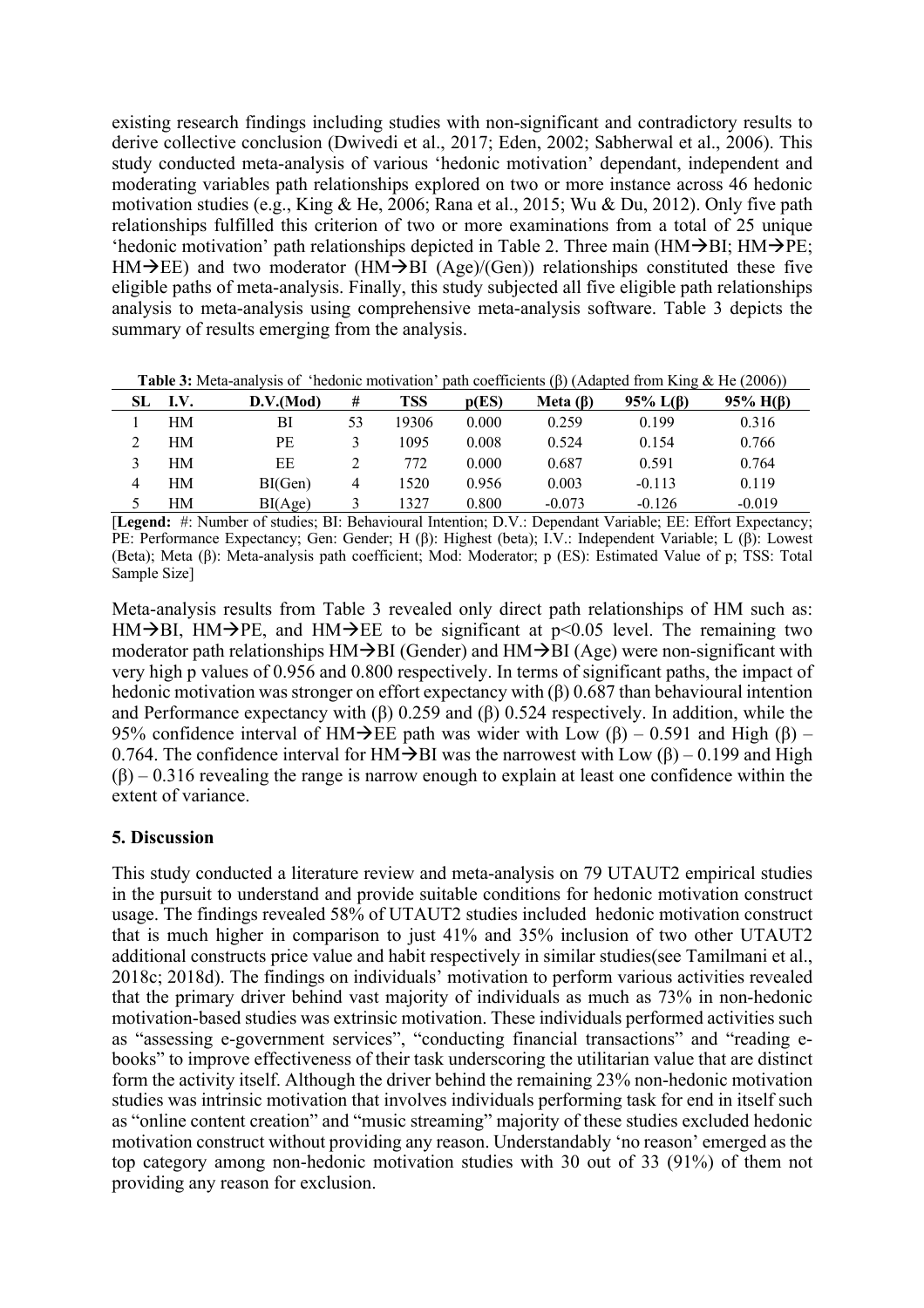existing research findings including studies with non-significant and contradictory results to derive collective conclusion (Dwivedi et al., 2017; Eden, 2002; Sabherwal et al., 2006). This study conducted meta-analysis of various 'hedonic motivation' dependant, independent and moderating variables path relationships explored on two or more instance across 46 hedonic motivation studies (e.g., King & He, 2006; Rana et al., 2015; Wu & Du, 2012). Only five path relationships fulfilled this criterion of two or more examinations from a total of 25 unique 'hedonic motivation' path relationships depicted in Table 2. Three main ( $HM\rightarrow BH$ ;  $HM\rightarrow PE$ ;  $HM\rightarrow$ EE) and two moderator (HM $\rightarrow$ BI (Age)/(Gen)) relationships constituted these five eligible paths of meta-analysis. Finally, this study subjected all five eligible path relationships analysis to meta-analysis using comprehensive meta-analysis software. Table 3 depicts the summary of results emerging from the analysis.

**Table 3:** Meta-analysis of 'hedonic motivation' path coefficients (β) (Adapted from King & He (2006))

| I.V. | D.V.(Mod) | #           | <b>TSS</b> | p(ES) | Meta $(\beta)$ | $95\%$ L( $\beta$ ) | $95\%$ H( $\beta$ )     |
|------|-----------|-------------|------------|-------|----------------|---------------------|-------------------------|
| HМ   | BI        | 53          | 19306      | 0.000 | 0.259          | 0.199               | 0.316                   |
| HМ   | PE        |             | 1095       | 0.008 | 0.524          | 0.154               | 0.766                   |
| HМ   | ЕE        |             | 772        | 0.000 | 0.687          | 0.591               | 0.764                   |
| HМ   | BI(Gen)   | 4           | 1520       | 0.956 | 0.003          | $-0.113$            | 0.119                   |
| HМ   | BI(Age)   |             | 1327       | 0.800 | $-0.073$       | $-0.126$            | $-0.019$                |
|      | _ _ _ _   | .<br>$\sim$ | ----       | - -   |                | _ _ _               | .<br>$ -$<br>- -<br>$-$ |

[**Legend:** #: Number of studies; BI: Behavioural Intention; D.V.: Dependant Variable; EE: Effort Expectancy; PE: Performance Expectancy; Gen: Gender; H (β): Highest (beta); I.V.: Independent Variable; L (β): Lowest (Beta); Meta (β): Meta-analysis path coefficient; Mod: Moderator; p (ES): Estimated Value of p; TSS: Total Sample Size]

Meta-analysis results from Table 3 revealed only direct path relationships of HM such as: HM $\rightarrow$ BI, HM $\rightarrow$ PE, and HM $\rightarrow$ EE to be significant at p<0.05 level. The remaining two moderator path relationships  $HM\rightarrow BH$  (Gender) and  $HM\rightarrow BH$  (Age) were non-significant with very high p values of 0.956 and 0.800 respectively. In terms of significant paths, the impact of hedonic motivation was stronger on effort expectancy with (β) 0.687 than behavioural intention and Performance expectancy with  $(\beta)$  0.259 and  $(\beta)$  0.524 respectively. In addition, while the 95% confidence interval of HM $\rightarrow$ EE path was wider with Low (β) – 0.591 and High (β) – 0.764. The confidence interval for HM $\rightarrow$ BI was the narrowest with Low (β) – 0.199 and High  $(\beta)$  – 0.316 revealing the range is narrow enough to explain at least one confidence within the extent of variance.

# **5. Discussion**

This study conducted a literature review and meta-analysis on 79 UTAUT2 empirical studies in the pursuit to understand and provide suitable conditions for hedonic motivation construct usage. The findings revealed 58% of UTAUT2 studies included hedonic motivation construct that is much higher in comparison to just 41% and 35% inclusion of two other UTAUT2 additional constructs price value and habit respectively in similar studies(see Tamilmani et al., 2018c; 2018d). The findings on individuals' motivation to perform various activities revealed that the primary driver behind vast majority of individuals as much as 73% in non-hedonic motivation-based studies was extrinsic motivation. These individuals performed activities such as "assessing e-government services", "conducting financial transactions" and "reading ebooks" to improve effectiveness of their task underscoring the utilitarian value that are distinct form the activity itself. Although the driver behind the remaining 23% non-hedonic motivation studies was intrinsic motivation that involves individuals performing task for end in itself such as "online content creation" and "music streaming" majority of these studies excluded hedonic motivation construct without providing any reason. Understandably 'no reason' emerged as the top category among non-hedonic motivation studies with 30 out of 33 (91%) of them not providing any reason for exclusion.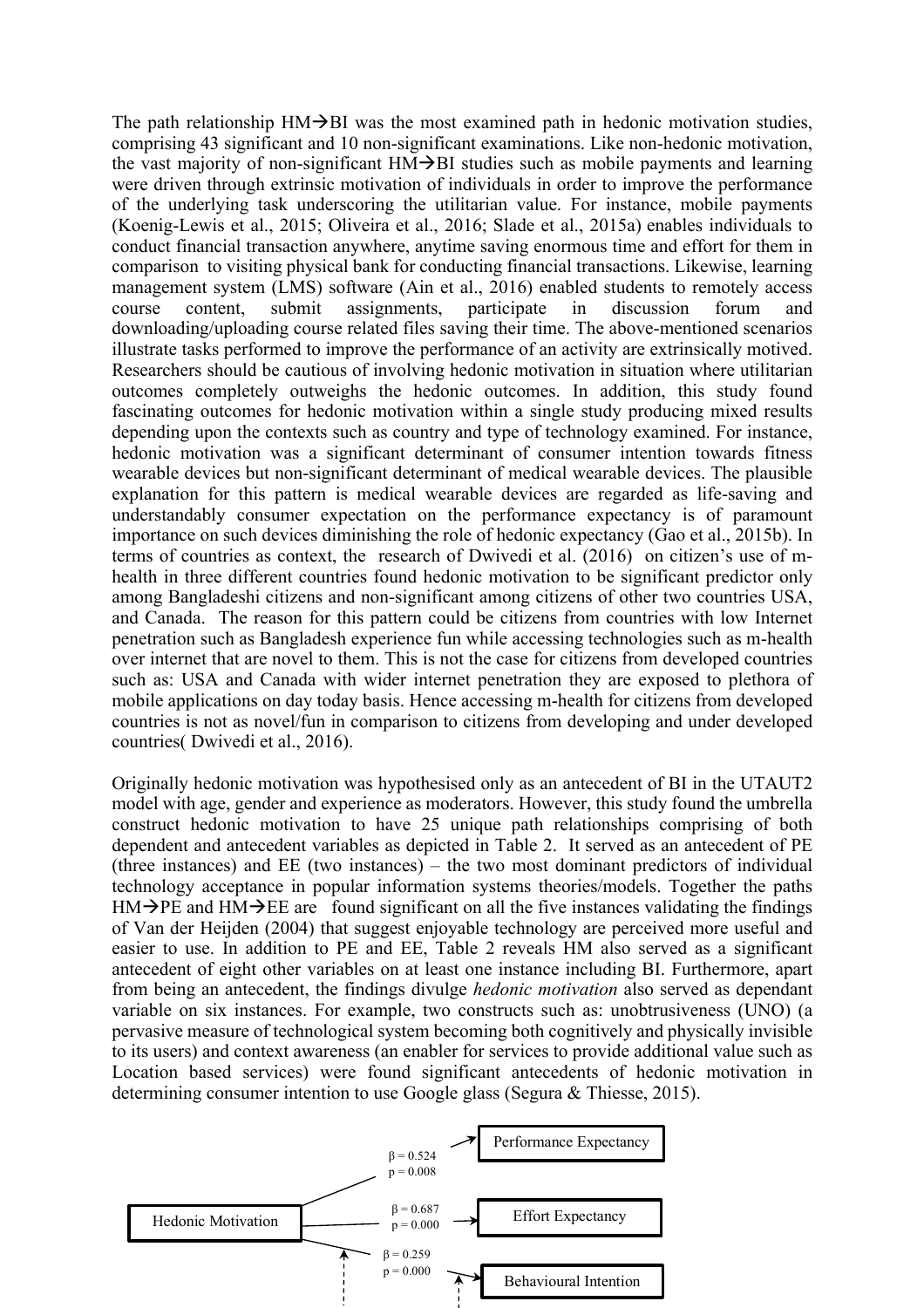The path relationship  $HM\rightarrow BH$  was the most examined path in hedonic motivation studies, comprising 43 significant and 10 non-significant examinations. Like non-hedonic motivation, the vast majority of non-significant  $HM\rightarrow BH$  studies such as mobile payments and learning were driven through extrinsic motivation of individuals in order to improve the performance of the underlying task underscoring the utilitarian value. For instance, mobile payments (Koenig-Lewis et al., 2015; Oliveira et al., 2016; Slade et al., 2015a) enables individuals to conduct financial transaction anywhere, anytime saving enormous time and effort for them in comparison to visiting physical bank for conducting financial transactions. Likewise, learning management system (LMS) software (Ain et al., 2016) enabled students to remotely access course content, submit assignments, participate in discussion forum and downloading/uploading course related files saving their time. The above-mentioned scenarios illustrate tasks performed to improve the performance of an activity are extrinsically motived. Researchers should be cautious of involving hedonic motivation in situation where utilitarian outcomes completely outweighs the hedonic outcomes. In addition, this study found fascinating outcomes for hedonic motivation within a single study producing mixed results depending upon the contexts such as country and type of technology examined. For instance, hedonic motivation was a significant determinant of consumer intention towards fitness wearable devices but non-significant determinant of medical wearable devices. The plausible explanation for this pattern is medical wearable devices are regarded as life-saving and understandably consumer expectation on the performance expectancy is of paramount importance on such devices diminishing the role of hedonic expectancy (Gao et al., 2015b). In terms of countries as context, the research of Dwivedi et al. (2016) on citizen's use of mhealth in three different countries found hedonic motivation to be significant predictor only among Bangladeshi citizens and non-significant among citizens of other two countries USA, and Canada. The reason for this pattern could be citizens from countries with low Internet penetration such as Bangladesh experience fun while accessing technologies such as m-health over internet that are novel to them. This is not the case for citizens from developed countries such as: USA and Canada with wider internet penetration they are exposed to plethora of mobile applications on day today basis. Hence accessing m-health for citizens from developed countries is not as novel/fun in comparison to citizens from developing and under developed countries( Dwivedi et al., 2016).

Originally hedonic motivation was hypothesised only as an antecedent of BI in the UTAUT2 model with age, gender and experience as moderators. However, this study found the umbrella construct hedonic motivation to have 25 unique path relationships comprising of both dependent and antecedent variables as depicted in Table 2. It served as an antecedent of PE (three instances) and EE (two instances) – the two most dominant predictors of individual technology acceptance in popular information systems theories/models. Together the paths  $HM\rightarrow PE$  and  $HM\rightarrow EE$  are found significant on all the five instances validating the findings of Van der Heijden (2004) that suggest enjoyable technology are perceived more useful and easier to use. In addition to PE and EE, Table 2 reveals HM also served as a significant antecedent of eight other variables on at least one instance including BI. Furthermore, apart from being an antecedent, the findings divulge *hedonic motivation* also served as dependant variable on six instances. For example, two constructs such as: unobtrusiveness (UNO) (a pervasive measure of technological system becoming both cognitively and physically invisible to its users) and context awareness (an enabler for services to provide additional value such as Location based services) were found significant antecedents of hedonic motivation in determining consumer intention to use Google glass (Segura & Thiesse, 2015).

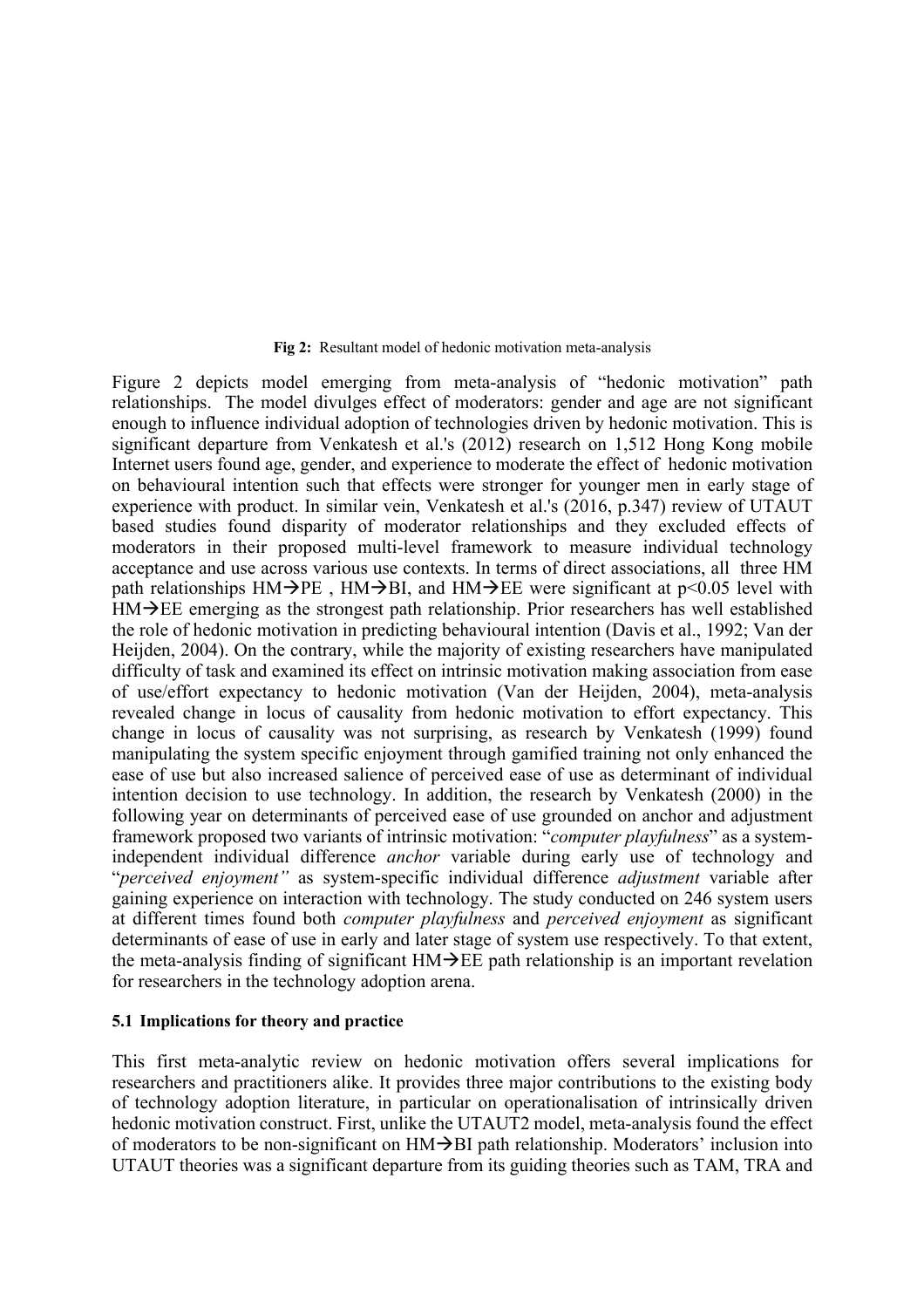#### **Fig 2:** Resultant model of hedonic motivation meta-analysis

Figure 2 depicts model emerging from meta-analysis of "hedonic motivation" path relationships. The model divulges effect of moderators: gender and age are not significant enough to influence individual adoption of technologies driven by hedonic motivation. This is significant departure from Venkatesh et al.'s (2012) research on 1,512 Hong Kong mobile Internet users found age, gender, and experience to moderate the effect of hedonic motivation on behavioural intention such that effects were stronger for younger men in early stage of experience with product. In similar vein, Venkatesh et al.'s (2016, p.347) review of UTAUT based studies found disparity of moderator relationships and they excluded effects of moderators in their proposed multi-level framework to measure individual technology acceptance and use across various use contexts. In terms of direct associations, all three HM path relationships  $HM\rightarrow PE$ ,  $HM\rightarrow BI$ , and  $HM\rightarrow EE$  were significant at p<0.05 level with  $HM\rightarrow EE$  emerging as the strongest path relationship. Prior researchers has well established the role of hedonic motivation in predicting behavioural intention (Davis et al., 1992; Van der Heijden, 2004). On the contrary, while the majority of existing researchers have manipulated difficulty of task and examined its effect on intrinsic motivation making association from ease of use/effort expectancy to hedonic motivation (Van der Heijden, 2004), meta-analysis revealed change in locus of causality from hedonic motivation to effort expectancy. This change in locus of causality was not surprising, as research by Venkatesh (1999) found manipulating the system specific enjoyment through gamified training not only enhanced the ease of use but also increased salience of perceived ease of use as determinant of individual intention decision to use technology. In addition, the research by Venkatesh (2000) in the following year on determinants of perceived ease of use grounded on anchor and adjustment framework proposed two variants of intrinsic motivation: "*computer playfulness*" as a systemindependent individual difference *anchor* variable during early use of technology and "*perceived enjoyment"* as system-specific individual difference *adjustment* variable after gaining experience on interaction with technology. The study conducted on 246 system users at different times found both *computer playfulness* and *perceived enjoyment* as significant determinants of ease of use in early and later stage of system use respectively. To that extent, the meta-analysis finding of significant  $HM\rightarrow EE$  path relationship is an important revelation for researchers in the technology adoption arena.

#### **5.1 Implications for theory and practice**

This first meta-analytic review on hedonic motivation offers several implications for researchers and practitioners alike. It provides three major contributions to the existing body of technology adoption literature, in particular on operationalisation of intrinsically driven hedonic motivation construct. First, unlike the UTAUT2 model, meta-analysis found the effect of moderators to be non-significant on  $HM\rightarrow BH$  path relationship. Moderators' inclusion into UTAUT theories was a significant departure from its guiding theories such as TAM, TRA and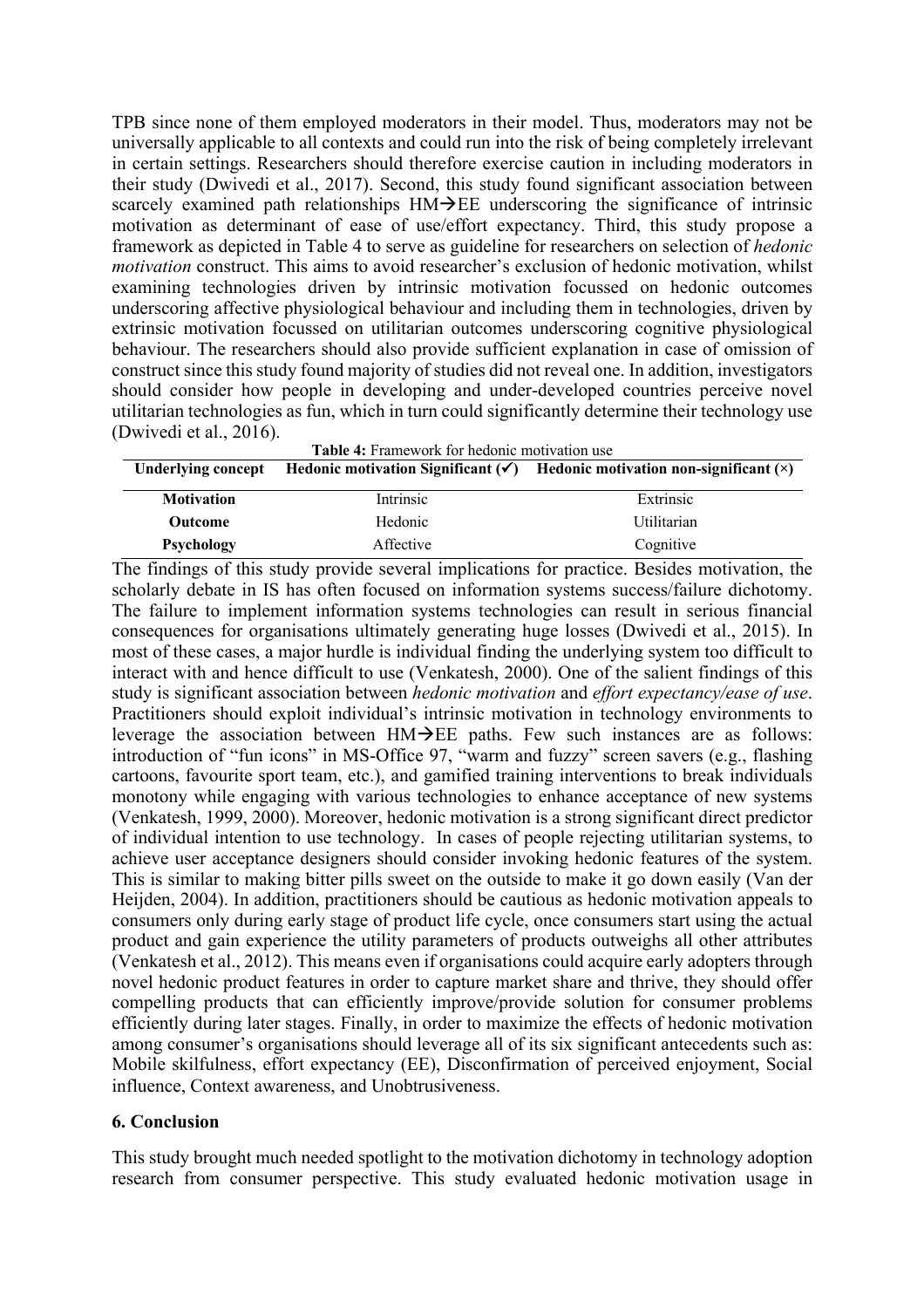TPB since none of them employed moderators in their model. Thus, moderators may not be universally applicable to all contexts and could run into the risk of being completely irrelevant in certain settings. Researchers should therefore exercise caution in including moderators in their study (Dwivedi et al., 2017). Second, this study found significant association between scarcely examined path relationships  $HM\rightarrow EE$  underscoring the significance of intrinsic motivation as determinant of ease of use/effort expectancy. Third, this study propose a framework as depicted in Table 4 to serve as guideline for researchers on selection of *hedonic motivation* construct. This aims to avoid researcher's exclusion of hedonic motivation, whilst examining technologies driven by intrinsic motivation focussed on hedonic outcomes underscoring affective physiological behaviour and including them in technologies, driven by extrinsic motivation focussed on utilitarian outcomes underscoring cognitive physiological behaviour. The researchers should also provide sufficient explanation in case of omission of construct since this study found majority of studies did not reveal one. In addition, investigators should consider how people in developing and under-developed countries perceive novel utilitarian technologies as fun, which in turn could significantly determine their technology use (Dwivedi et al., 2016).

| Table 4: Framework for hedonic motivation use |           |                                                                                                 |  |  |  |  |
|-----------------------------------------------|-----------|-------------------------------------------------------------------------------------------------|--|--|--|--|
| <b>Underlying concept</b>                     |           | Hedonic motivation Significant $(\checkmark)$ Hedonic motivation non-significant $(\checkmark)$ |  |  |  |  |
| <b>Motivation</b>                             | Intrinsic | Extrinsic                                                                                       |  |  |  |  |
| <b>Outcome</b>                                | Hedonic   | Utilitarian                                                                                     |  |  |  |  |
| <b>Psychology</b>                             | Affective | Cognitive                                                                                       |  |  |  |  |

The findings of this study provide several implications for practice. Besides motivation, the scholarly debate in IS has often focused on information systems success/failure dichotomy. The failure to implement information systems technologies can result in serious financial consequences for organisations ultimately generating huge losses (Dwivedi et al., 2015). In most of these cases, a major hurdle is individual finding the underlying system too difficult to interact with and hence difficult to use (Venkatesh, 2000). One of the salient findings of this study is significant association between *hedonic motivation* and *effort expectancy/ease of use*. Practitioners should exploit individual's intrinsic motivation in technology environments to leverage the association between  $HM\rightarrow EE$  paths. Few such instances are as follows: introduction of "fun icons" in MS-Office 97, "warm and fuzzy" screen savers (e.g., flashing cartoons, favourite sport team, etc.), and gamified training interventions to break individuals monotony while engaging with various technologies to enhance acceptance of new systems (Venkatesh, 1999, 2000). Moreover, hedonic motivation is a strong significant direct predictor of individual intention to use technology. In cases of people rejecting utilitarian systems, to achieve user acceptance designers should consider invoking hedonic features of the system. This is similar to making bitter pills sweet on the outside to make it go down easily (Van der Heijden, 2004). In addition, practitioners should be cautious as hedonic motivation appeals to consumers only during early stage of product life cycle, once consumers start using the actual product and gain experience the utility parameters of products outweighs all other attributes (Venkatesh et al., 2012). This means even if organisations could acquire early adopters through novel hedonic product features in order to capture market share and thrive, they should offer compelling products that can efficiently improve/provide solution for consumer problems efficiently during later stages. Finally, in order to maximize the effects of hedonic motivation among consumer's organisations should leverage all of its six significant antecedents such as: Mobile skilfulness, effort expectancy (EE), Disconfirmation of perceived enjoyment, Social influence, Context awareness, and Unobtrusiveness.

### **6. Conclusion**

This study brought much needed spotlight to the motivation dichotomy in technology adoption research from consumer perspective. This study evaluated hedonic motivation usage in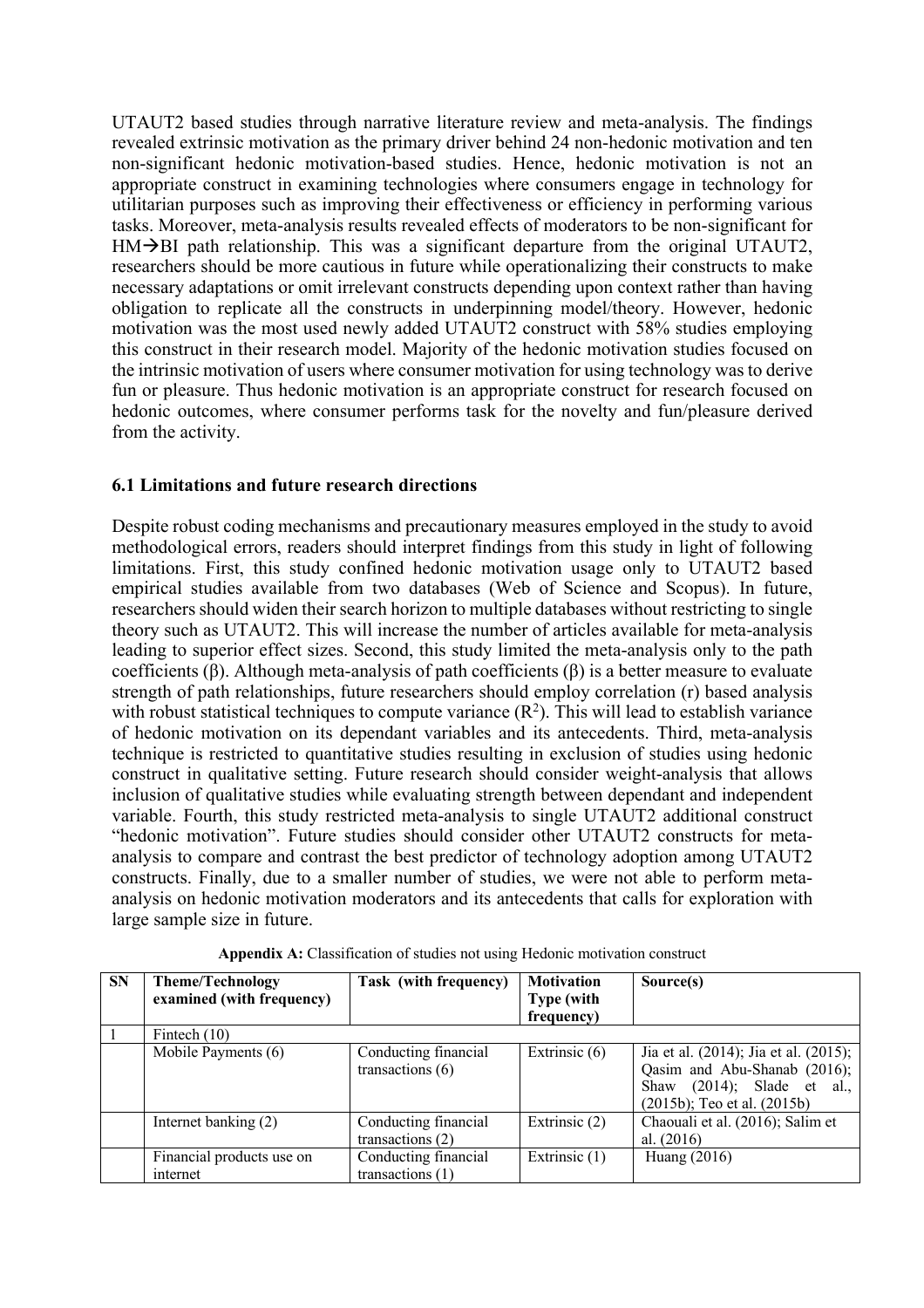UTAUT2 based studies through narrative literature review and meta-analysis. The findings revealed extrinsic motivation as the primary driver behind 24 non-hedonic motivation and ten non-significant hedonic motivation-based studies. Hence, hedonic motivation is not an appropriate construct in examining technologies where consumers engage in technology for utilitarian purposes such as improving their effectiveness or efficiency in performing various tasks. Moreover, meta-analysis results revealed effects of moderators to be non-significant for  $HM\rightarrow BH$  path relationship. This was a significant departure from the original UTAUT2, researchers should be more cautious in future while operationalizing their constructs to make necessary adaptations or omit irrelevant constructs depending upon context rather than having obligation to replicate all the constructs in underpinning model/theory. However, hedonic motivation was the most used newly added UTAUT2 construct with 58% studies employing this construct in their research model. Majority of the hedonic motivation studies focused on the intrinsic motivation of users where consumer motivation for using technology was to derive fun or pleasure. Thus hedonic motivation is an appropriate construct for research focused on hedonic outcomes, where consumer performs task for the novelty and fun/pleasure derived from the activity.

### **6.1 Limitations and future research directions**

Despite robust coding mechanisms and precautionary measures employed in the study to avoid methodological errors, readers should interpret findings from this study in light of following limitations. First, this study confined hedonic motivation usage only to UTAUT2 based empirical studies available from two databases (Web of Science and Scopus). In future, researchers should widen their search horizon to multiple databases without restricting to single theory such as UTAUT2. This will increase the number of articles available for meta-analysis leading to superior effect sizes. Second, this study limited the meta-analysis only to the path coefficients (β). Although meta-analysis of path coefficients (β) is a better measure to evaluate strength of path relationships, future researchers should employ correlation (r) based analysis with robust statistical techniques to compute variance  $(R^2)$ . This will lead to establish variance of hedonic motivation on its dependant variables and its antecedents. Third, meta-analysis technique is restricted to quantitative studies resulting in exclusion of studies using hedonic construct in qualitative setting. Future research should consider weight-analysis that allows inclusion of qualitative studies while evaluating strength between dependant and independent variable. Fourth, this study restricted meta-analysis to single UTAUT2 additional construct "hedonic motivation". Future studies should consider other UTAUT2 constructs for metaanalysis to compare and contrast the best predictor of technology adoption among UTAUT2 constructs. Finally, due to a smaller number of studies, we were not able to perform metaanalysis on hedonic motivation moderators and its antecedents that calls for exploration with large sample size in future.

| <b>SN</b> | <b>Theme/Technology</b><br>examined (with frequency) | Task (with frequency)                      | <b>Motivation</b><br><b>Type</b> (with<br>frequency) | Source(s)                                                                                                                               |
|-----------|------------------------------------------------------|--------------------------------------------|------------------------------------------------------|-----------------------------------------------------------------------------------------------------------------------------------------|
|           | Fintech $(10)$                                       |                                            |                                                      |                                                                                                                                         |
|           | Mobile Payments (6)                                  | Conducting financial<br>transactions $(6)$ | Extrinsic $(6)$                                      | Jia et al. (2014); Jia et al. (2015);<br>Qasim and Abu-Shanab (2016);<br>Shaw (2014); Slade et al.,<br>$(2015b)$ ; Teo et al. $(2015b)$ |
|           | Internet banking (2)                                 | Conducting financial<br>transactions $(2)$ | Extrinsic (2)                                        | Chaouali et al. (2016); Salim et<br>al. $(2016)$                                                                                        |
|           | Financial products use on<br>internet                | Conducting financial<br>transactions $(1)$ | Extrinsic (1)                                        | Huang (2016)                                                                                                                            |

**Appendix A:** Classification of studies not using Hedonic motivation construct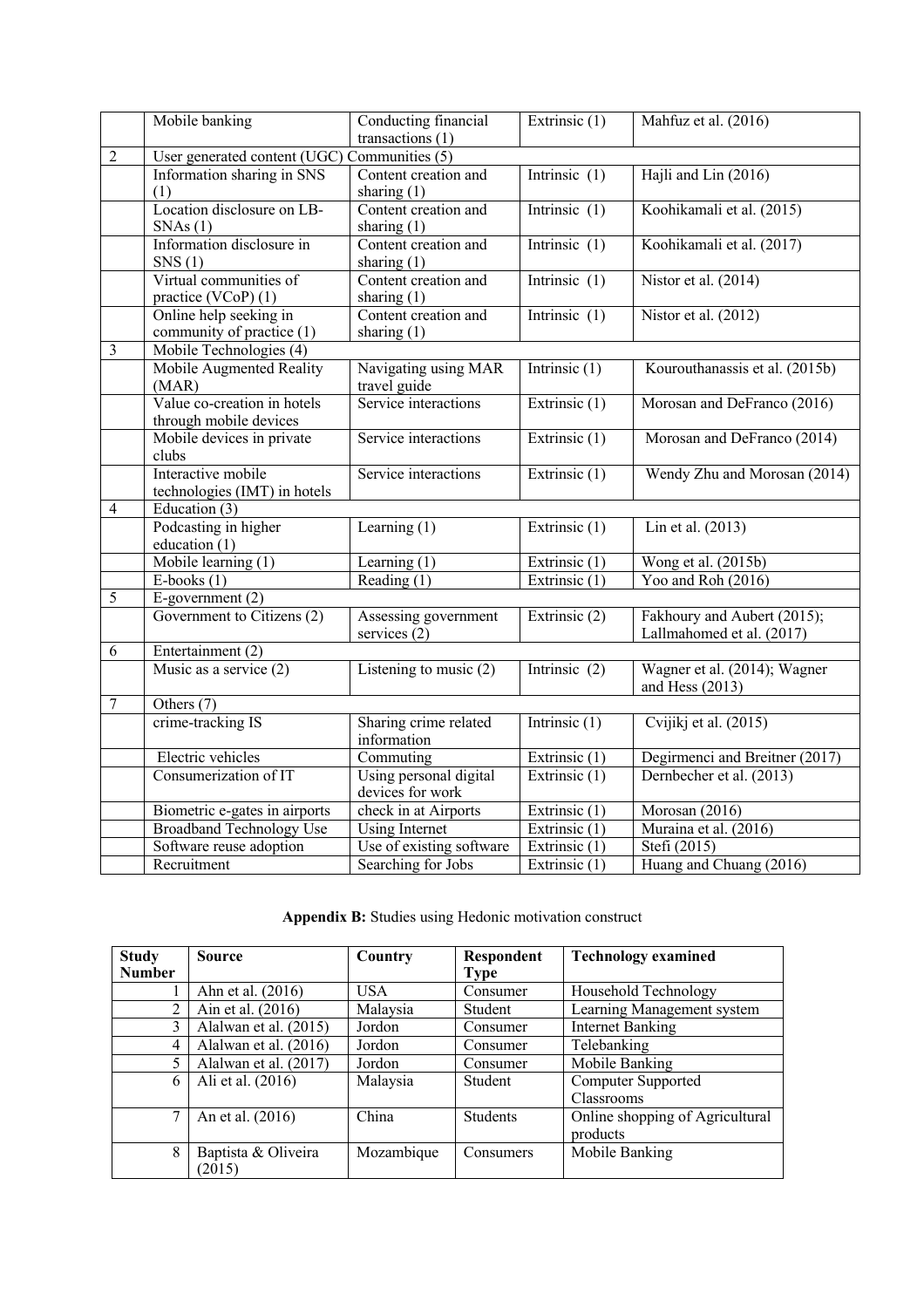|                         | Mobile banking                                        | Conducting financial<br>transactions $(1)$ | Extrinsic $(1)$ | Mahfuz et al. (2016)                                     |  |  |  |  |
|-------------------------|-------------------------------------------------------|--------------------------------------------|-----------------|----------------------------------------------------------|--|--|--|--|
| $\overline{2}$          | User generated content (UGC) Communities (5)          |                                            |                 |                                                          |  |  |  |  |
|                         | Information sharing in SNS<br>(1)                     | Content creation and<br>sharing $(1)$      | Intrinsic $(1)$ | Hajli and Lin (2016)                                     |  |  |  |  |
|                         | Location disclosure on LB-<br>SNAs(1)                 | Content creation and<br>sharing $(1)$      | Intrinsic $(1)$ | Koohikamali et al. (2015)                                |  |  |  |  |
|                         | Information disclosure in<br>SNS(1)                   | Content creation and<br>sharing $(1)$      | Intrinsic $(1)$ | Koohikamali et al. (2017)                                |  |  |  |  |
|                         | Virtual communities of<br>practice (VCoP) (1)         | Content creation and<br>sharing $(1)$      | Intrinsic $(1)$ | Nistor et al. (2014)                                     |  |  |  |  |
|                         | Online help seeking in<br>community of practice (1)   | Content creation and<br>sharing $(1)$      | Intrinsic $(1)$ | Nistor et al. $(2012)$                                   |  |  |  |  |
| $\overline{\mathbf{3}}$ | Mobile Technologies (4)                               |                                            |                 |                                                          |  |  |  |  |
|                         | Mobile Augmented Reality<br>(MAR)                     | Navigating using MAR<br>travel guide       | Intrinsic $(1)$ | Kourouthanassis et al. (2015b)                           |  |  |  |  |
|                         | Value co-creation in hotels<br>through mobile devices | Service interactions                       | Extrinsic (1)   | Morosan and DeFranco (2016)                              |  |  |  |  |
|                         | Mobile devices in private<br>clubs                    | Service interactions                       | Extrinsic (1)   | Morosan and DeFranco (2014)                              |  |  |  |  |
|                         | Interactive mobile<br>technologies (IMT) in hotels    | Service interactions                       | Extrinsic (1)   | Wendy Zhu and Morosan (2014)                             |  |  |  |  |
| $\overline{4}$          | Education $(3)$                                       |                                            |                 |                                                          |  |  |  |  |
|                         | Podcasting in higher<br>education (1)                 | Learning $(1)$                             | Extrinsic (1)   | Lin et al. (2013)                                        |  |  |  |  |
|                         | Mobile learning $(1)$                                 | Learning $(1)$                             | Extrinsic (1)   | Wong et al. (2015b)                                      |  |  |  |  |
|                         | $E\text{-books}(1)$                                   | Reading $(1)$                              | Extrinsic $(1)$ | Yoo and Roh (2016)                                       |  |  |  |  |
| $\overline{5}$          | $E$ -government $(2)$                                 |                                            |                 |                                                          |  |  |  |  |
|                         | Government to Citizens (2)                            | Assessing government<br>services $(2)$     | Extrinsic (2)   | Fakhoury and Aubert (2015);<br>Lallmahomed et al. (2017) |  |  |  |  |
| 6                       | Entertainment (2)                                     |                                            |                 |                                                          |  |  |  |  |
|                         | Music as a service $(2)$                              | Listening to music $(2)$                   | Intrinsic $(2)$ | Wagner et al. (2014); Wagner<br>and Hess $(2013)$        |  |  |  |  |
| $\boldsymbol{7}$        | Others $\overline{(7)}$                               |                                            |                 |                                                          |  |  |  |  |
|                         | crime-tracking IS                                     | Sharing crime related<br>information       | Intrinsic $(1)$ | Cvijikj et al. (2015)                                    |  |  |  |  |
|                         | Electric vehicles                                     | Commuting                                  | Extrinsic (1)   | Degirmenci and Breitner (2017)                           |  |  |  |  |
|                         | Consumerization of IT                                 | Using personal digital<br>devices for work | Extrinsic (1)   | Dernbecher et al. (2013)                                 |  |  |  |  |
|                         | Biometric e-gates in airports                         | check in at Airports                       | Extrinsic (1)   | Morosan (2016)                                           |  |  |  |  |
|                         | <b>Broadband Technology Use</b>                       | <b>Using Internet</b>                      | Extrinsic (1)   | Muraina et al. (2016)                                    |  |  |  |  |
|                         | Software reuse adoption                               | Use of existing software                   | Extrinsic (1)   | Stefi (2015)                                             |  |  |  |  |
|                         | Recruitment                                           | Searching for Jobs                         | Extrinsic (1)   | Huang and Chuang (2016)                                  |  |  |  |  |

**Appendix B:** Studies using Hedonic motivation construct

| <b>Study</b>   | Source                | Country    | <b>Respondent</b> | <b>Technology examined</b>      |
|----------------|-----------------------|------------|-------------------|---------------------------------|
| <b>Number</b>  |                       |            | <b>Type</b>       |                                 |
|                | Ahn et al. (2016)     | <b>USA</b> | Consumer          | Household Technology            |
| $\mathfrak{D}$ | Ain et al. (2016)     | Malaysia   | Student           | Learning Management system      |
| 3              | Alalwan et al. (2015) | Jordon     | Consumer          | <b>Internet Banking</b>         |
| 4              | Alalwan et al. (2016) | Jordon     | Consumer          | Telebanking                     |
| 5              | Alalwan et al. (2017) | Jordon     | Consumer          | Mobile Banking                  |
| 6              | Ali et al. (2016)     | Malaysia   | Student           | Computer Supported              |
|                |                       |            |                   | Classrooms                      |
| 7              | An et al. (2016)      | China      | <b>Students</b>   | Online shopping of Agricultural |
|                |                       |            |                   | products                        |
| 8              | Baptista & Oliveira   | Mozambique | Consumers         | Mobile Banking                  |
|                | (2015)                |            |                   |                                 |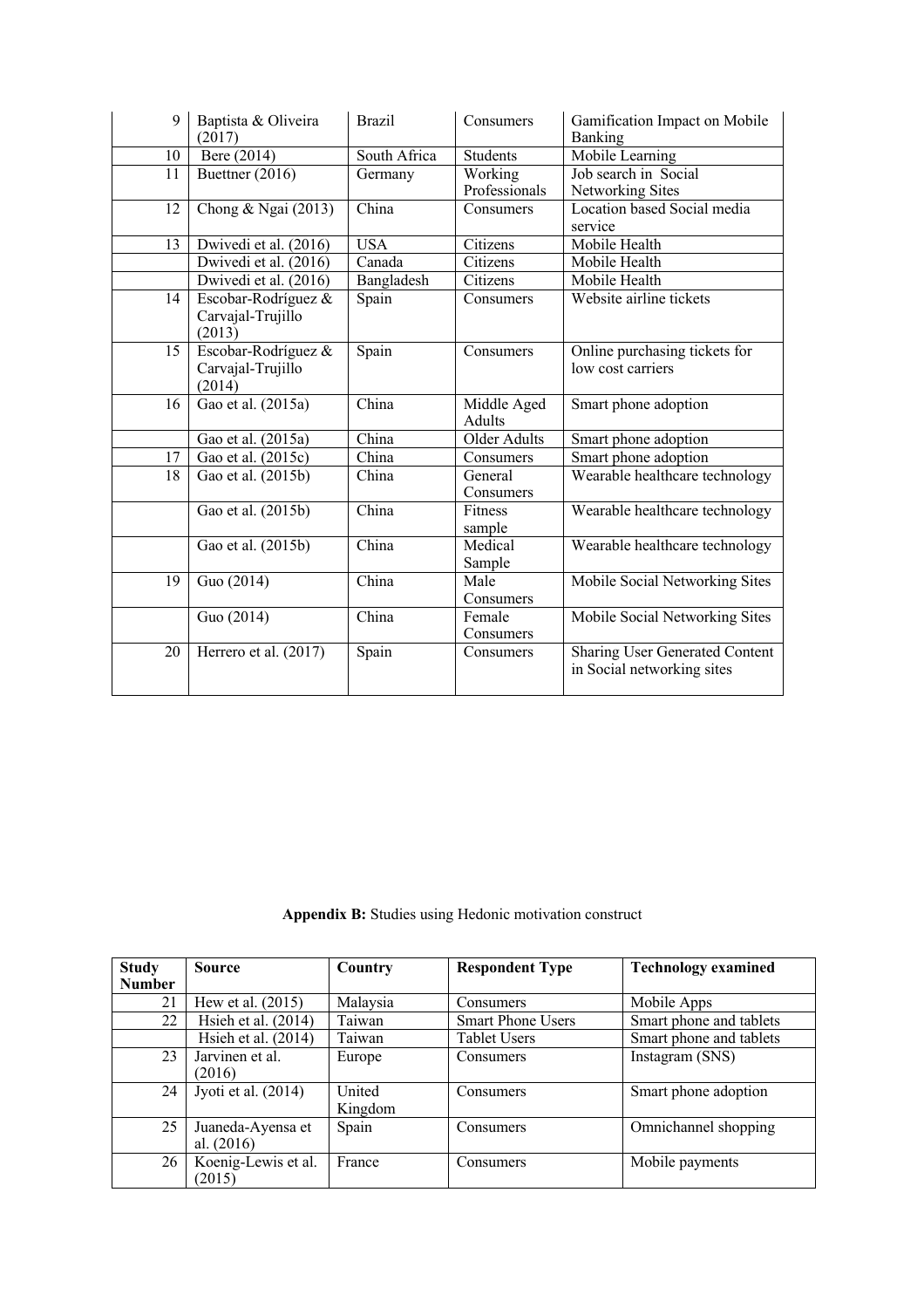| 9  | Baptista & Oliveira<br>(2017)                      | <b>Brazil</b> | Consumers                    | Gamification Impact on Mobile<br>Banking                     |
|----|----------------------------------------------------|---------------|------------------------------|--------------------------------------------------------------|
| 10 | Bere (2014)                                        | South Africa  | <b>Students</b>              | Mobile Learning                                              |
| 11 | Buettner $(2016)$                                  | Germany       | Working<br>Professionals     | Job search in Social<br>Networking Sites                     |
| 12 | Chong & Ngai (2013)                                | China         | Consumers                    | Location based Social media<br>service                       |
| 13 | Dwivedi et al. (2016)                              | <b>USA</b>    | Citizens                     | Mobile Health                                                |
|    | Dwivedi et al. (2016)                              | Canada        | Citizens                     | Mobile Health                                                |
|    | Dwivedi et al. (2016)                              | Bangladesh    | Citizens                     | Mobile Health                                                |
| 14 | Escobar-Rodríguez &<br>Carvajal-Trujillo<br>(2013) | Spain         | Consumers                    | Website airline tickets                                      |
| 15 | Escobar-Rodríguez &<br>Carvajal-Trujillo<br>(2014) | Spain         | Consumers                    | Online purchasing tickets for<br>low cost carriers           |
| 16 | Gao et al. (2015a)                                 | China         | Middle Aged<br><b>Adults</b> | Smart phone adoption                                         |
|    | Gao et al. (2015a)                                 | China         | <b>Older Adults</b>          | Smart phone adoption                                         |
| 17 | Gao et al. (2015c)                                 | China         | Consumers                    | Smart phone adoption                                         |
| 18 | Gao et al. (2015b)                                 | China         | General<br>Consumers         | Wearable healthcare technology                               |
|    | Gao et al. (2015b)                                 | China         | <b>Fitness</b><br>sample     | Wearable healthcare technology                               |
|    | Gao et al. (2015b)                                 | China         | Medical<br>Sample            | Wearable healthcare technology                               |
| 19 | Guo (2014)                                         | China         | Male<br>Consumers            | Mobile Social Networking Sites                               |
|    | Guo (2014)                                         | China         | Female<br>Consumers          | Mobile Social Networking Sites                               |
| 20 | Herrero et al. (2017)                              | Spain         | Consumers                    | Sharing User Generated Content<br>in Social networking sites |

**Appendix B:** Studies using Hedonic motivation construct

| <b>Study</b>  | <b>Source</b>         | Country  | <b>Respondent Type</b>   | <b>Technology examined</b> |
|---------------|-----------------------|----------|--------------------------|----------------------------|
| <b>Number</b> |                       |          |                          |                            |
| 21            | Hew et al. (2015)     | Malaysia | Consumers                | Mobile Apps                |
| 22            | Hsieh et al. $(2014)$ | Taiwan   | <b>Smart Phone Users</b> | Smart phone and tablets    |
|               | Hsieh et al. $(2014)$ | Taiwan   | <b>Tablet Users</b>      | Smart phone and tablets    |
| 23            | Jarvinen et al.       | Europe   | Consumers                | Instagram (SNS)            |
|               | (2016)                |          |                          |                            |
| 24            | Jyoti et al. $(2014)$ | United   | Consumers                | Smart phone adoption       |
|               |                       | Kingdom  |                          |                            |
| 25            | Juaneda-Ayensa et     | Spain    | Consumers                | Omnichannel shopping       |
|               | al. $(2016)$          |          |                          |                            |
| 26            | Koenig-Lewis et al.   | France   | Consumers                | Mobile payments            |
|               | (2015)                |          |                          |                            |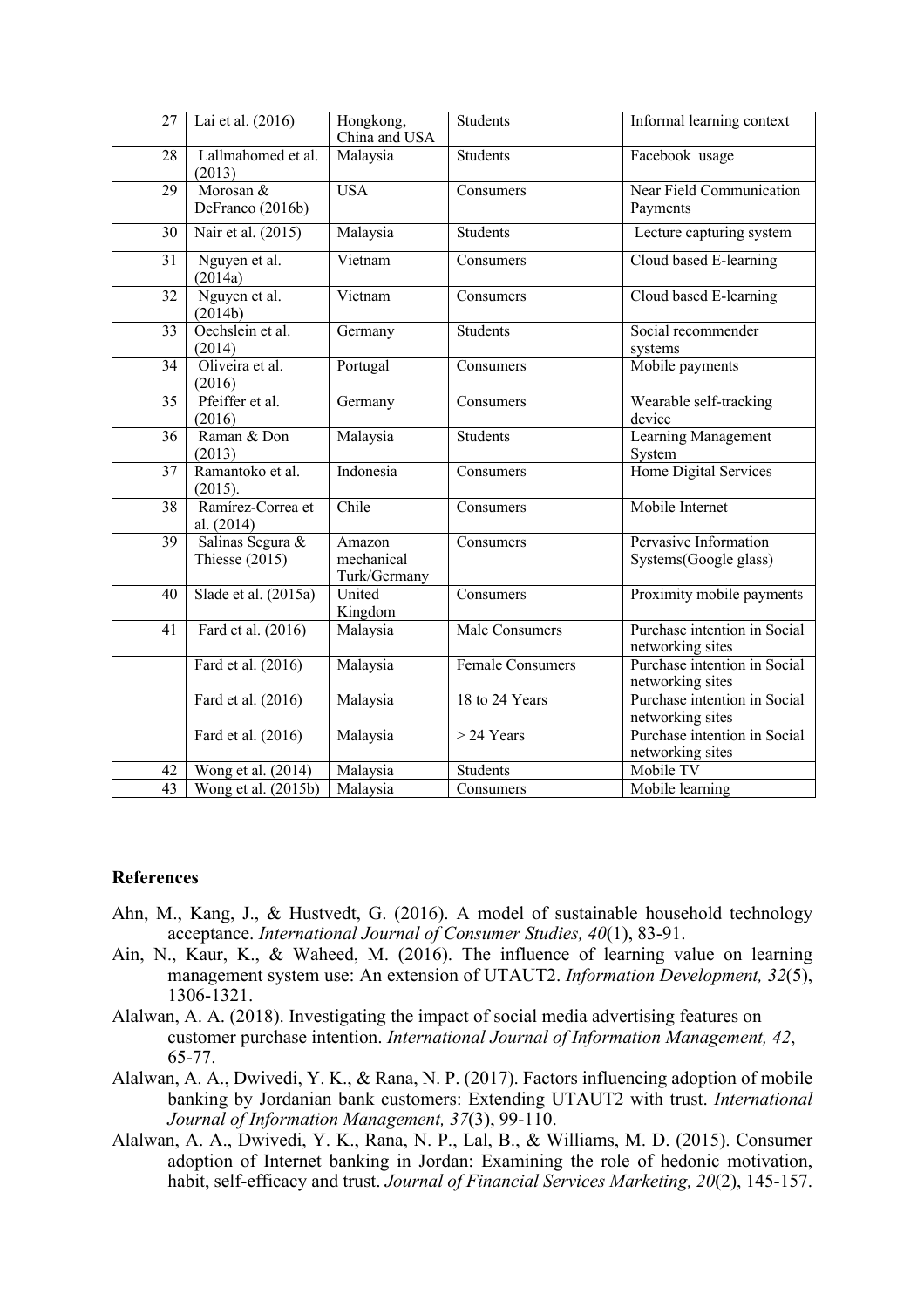| 27              | Lai et al. (2016)                    | Hongkong,<br>China and USA           | <b>Students</b>       | Informal learning context                        |
|-----------------|--------------------------------------|--------------------------------------|-----------------------|--------------------------------------------------|
| 28              | Lallmahomed et al.<br>(2013)         | Malaysia                             | <b>Students</b>       | Facebook usage                                   |
| 29              | Morosan $&$<br>DeFranco (2016b)      | <b>USA</b>                           | Consumers             | Near Field Communication<br>Payments             |
| 30              | Nair et al. (2015)                   | Malaysia                             | <b>Students</b>       | Lecture capturing system                         |
| 31              | Nguyen et al.<br>(2014a)             | Vietnam                              | Consumers             | Cloud based E-learning                           |
| 32              | Nguyen et al.<br>(2014b)             | Vietnam                              | Consumers             | Cloud based E-learning                           |
| 33              | Oechslein et al.<br>(2014)           | Germany                              | Students              | Social recommender<br>systems                    |
| 34              | Oliveira et al.<br>(2016)            | Portugal                             | Consumers             | Mobile payments                                  |
| $\overline{35}$ | Pfeiffer et al.<br>(2016)            | Germany                              | Consumers             | Wearable self-tracking<br>device                 |
| 36              | Raman & Don<br>(2013)                | Malaysia                             | <b>Students</b>       | Learning Management<br>System                    |
| 37              | Ramantoko et al.<br>(2015).          | Indonesia                            | Consumers             | Home Digital Services                            |
| 38              | Ramírez-Correa et<br>al. (2014)      | Chile                                | Consumers             | Mobile Internet                                  |
| 39              | Salinas Segura &<br>Thiesse $(2015)$ | Amazon<br>mechanical<br>Turk/Germany | Consumers             | Pervasive Information<br>Systems(Google glass)   |
| 40              | Slade et al. (2015a)                 | United<br>Kingdom                    | Consumers             | Proximity mobile payments                        |
| 41              | Fard et al. (2016)                   | Malaysia                             | <b>Male Consumers</b> | Purchase intention in Social<br>networking sites |
|                 | Fard et al. (2016)                   | Malaysia                             | Female Consumers      | Purchase intention in Social<br>networking sites |
|                 | Fard et al. (2016)                   | Malaysia                             | 18 to 24 Years        | Purchase intention in Social<br>networking sites |
|                 | Fard et al. $(2016)$                 | Malaysia                             | $>$ 24 Years          | Purchase intention in Social<br>networking sites |
| 42              | Wong et al. (2014)                   | Malaysia                             | <b>Students</b>       | Mobile TV                                        |
| 43              | Wong et al. (2015b)                  | Malaysia                             | Consumers             | Mobile learning                                  |

#### **References**

- Ahn, M., Kang, J., & Hustvedt, G. (2016). A model of sustainable household technology acceptance. *International Journal of Consumer Studies, 40*(1), 83-91.
- Ain, N., Kaur, K., & Waheed, M. (2016). The influence of learning value on learning management system use: An extension of UTAUT2. *Information Development, 32*(5), 1306-1321.
- Alalwan, A. A. (2018). Investigating the impact of social media advertising features on customer purchase intention. *International Journal of Information Management, 42*, 65-77.
- Alalwan, A. A., Dwivedi, Y. K., & Rana, N. P. (2017). Factors influencing adoption of mobile banking by Jordanian bank customers: Extending UTAUT2 with trust. *International Journal of Information Management, 37*(3), 99-110.
- Alalwan, A. A., Dwivedi, Y. K., Rana, N. P., Lal, B., & Williams, M. D. (2015). Consumer adoption of Internet banking in Jordan: Examining the role of hedonic motivation, habit, self-efficacy and trust. *Journal of Financial Services Marketing, 20*(2), 145-157.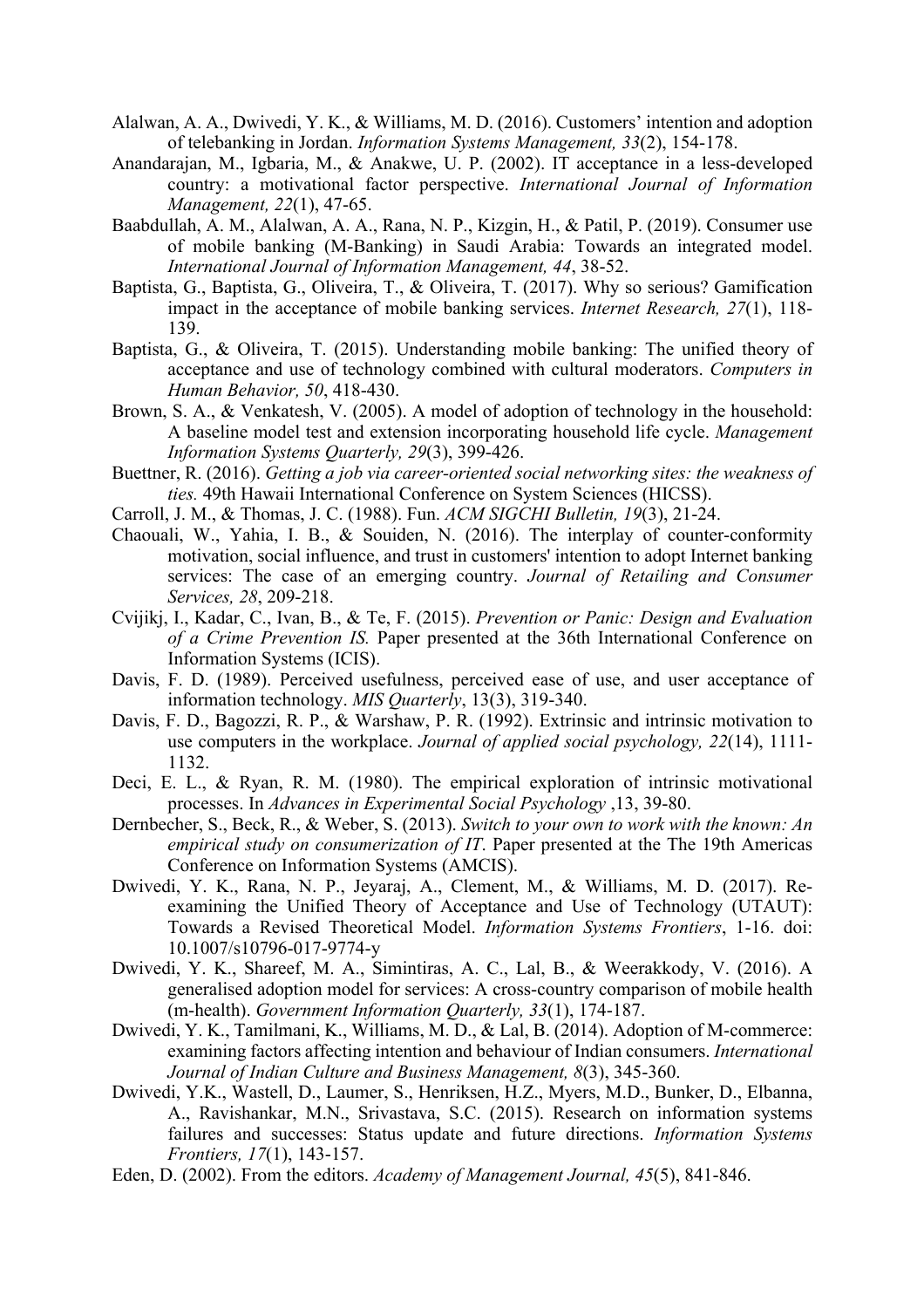- Alalwan, A. A., Dwivedi, Y. K., & Williams, M. D. (2016). Customers' intention and adoption of telebanking in Jordan. *Information Systems Management, 33*(2), 154-178.
- Anandarajan, M., Igbaria, M., & Anakwe, U. P. (2002). IT acceptance in a less-developed country: a motivational factor perspective. *International Journal of Information Management, 22*(1), 47-65.
- Baabdullah, A. M., Alalwan, A. A., Rana, N. P., Kizgin, H., & Patil, P. (2019). Consumer use of mobile banking (M-Banking) in Saudi Arabia: Towards an integrated model. *International Journal of Information Management, 44*, 38-52.
- Baptista, G., Baptista, G., Oliveira, T., & Oliveira, T. (2017). Why so serious? Gamification impact in the acceptance of mobile banking services. *Internet Research, 27*(1), 118- 139.
- Baptista, G., & Oliveira, T. (2015). Understanding mobile banking: The unified theory of acceptance and use of technology combined with cultural moderators. *Computers in Human Behavior, 50*, 418-430.
- Brown, S. A., & Venkatesh, V. (2005). A model of adoption of technology in the household: A baseline model test and extension incorporating household life cycle. *Management Information Systems Quarterly, 29*(3), 399-426.
- Buettner, R. (2016). *Getting a job via career-oriented social networking sites: the weakness of ties.* 49th Hawaii International Conference on System Sciences (HICSS).
- Carroll, J. M., & Thomas, J. C. (1988). Fun. *ACM SIGCHI Bulletin, 19*(3), 21-24.
- Chaouali, W., Yahia, I. B., & Souiden, N. (2016). The interplay of counter-conformity motivation, social influence, and trust in customers' intention to adopt Internet banking services: The case of an emerging country. *Journal of Retailing and Consumer Services, 28*, 209-218.
- Cvijikj, I., Kadar, C., Ivan, B., & Te, F. (2015). *Prevention or Panic: Design and Evaluation of a Crime Prevention IS.* Paper presented at the 36th International Conference on Information Systems (ICIS).
- Davis, F. D. (1989). Perceived usefulness, perceived ease of use, and user acceptance of information technology. *MIS Quarterly*, 13(3), 319-340.
- Davis, F. D., Bagozzi, R. P., & Warshaw, P. R. (1992). Extrinsic and intrinsic motivation to use computers in the workplace. *Journal of applied social psychology, 22*(14), 1111- 1132.
- Deci, E. L., & Ryan, R. M. (1980). The empirical exploration of intrinsic motivational processes. In *Advances in Experimental Social Psychology* ,13, 39-80.
- Dernbecher, S., Beck, R., & Weber, S. (2013). *Switch to your own to work with the known: An empirical study on consumerization of IT*. Paper presented at the The 19th Americas Conference on Information Systems (AMCIS).
- Dwivedi, Y. K., Rana, N. P., Jeyaraj, A., Clement, M., & Williams, M. D. (2017). Reexamining the Unified Theory of Acceptance and Use of Technology (UTAUT): Towards a Revised Theoretical Model. *Information Systems Frontiers*, 1-16. doi: 10.1007/s10796-017-9774-y
- Dwivedi, Y. K., Shareef, M. A., Simintiras, A. C., Lal, B., & Weerakkody, V. (2016). A generalised adoption model for services: A cross-country comparison of mobile health (m-health). *Government Information Quarterly, 33*(1), 174-187.
- Dwivedi, Y. K., Tamilmani, K., Williams, M. D., & Lal, B. (2014). Adoption of M-commerce: examining factors affecting intention and behaviour of Indian consumers. *International Journal of Indian Culture and Business Management, 8*(3), 345-360.
- Dwivedi, Y.K., Wastell, D., Laumer, S., Henriksen, H.Z., Myers, M.D., Bunker, D., Elbanna, A., Ravishankar, M.N., Srivastava, S.C. (2015). Research on information systems failures and successes: Status update and future directions. *Information Systems Frontiers, 17*(1), 143-157.
- Eden, D. (2002). From the editors. *Academy of Management Journal, 45*(5), 841-846.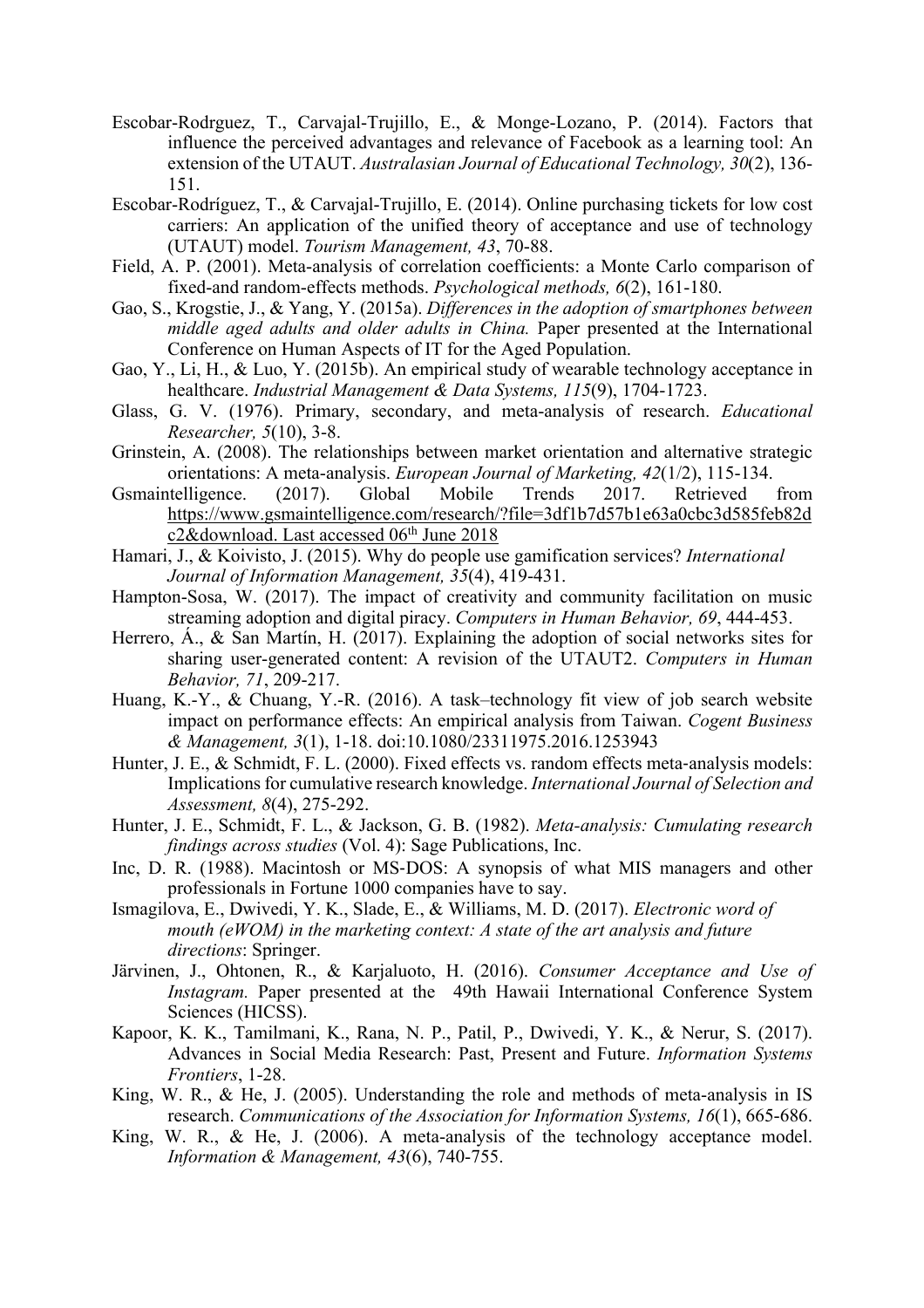- Escobar-Rodrguez, T., Carvajal-Trujillo, E., & Monge-Lozano, P. (2014). Factors that influence the perceived advantages and relevance of Facebook as a learning tool: An extension of the UTAUT. *Australasian Journal of Educational Technology, 30*(2), 136- 151.
- Escobar-Rodríguez, T., & Carvajal-Trujillo, E. (2014). Online purchasing tickets for low cost carriers: An application of the unified theory of acceptance and use of technology (UTAUT) model. *Tourism Management, 43*, 70-88.
- Field, A. P. (2001). Meta-analysis of correlation coefficients: a Monte Carlo comparison of fixed-and random-effects methods. *Psychological methods, 6*(2), 161-180.
- Gao, S., Krogstie, J., & Yang, Y. (2015a). *Differences in the adoption of smartphones between middle aged adults and older adults in China.* Paper presented at the International Conference on Human Aspects of IT for the Aged Population.
- Gao, Y., Li, H., & Luo, Y. (2015b). An empirical study of wearable technology acceptance in healthcare. *Industrial Management & Data Systems, 115*(9), 1704-1723.
- Glass, G. V. (1976). Primary, secondary, and meta-analysis of research. *Educational Researcher, 5*(10), 3-8.
- Grinstein, A. (2008). The relationships between market orientation and alternative strategic orientations: A meta-analysis. *European Journal of Marketing, 42*(1/2), 115-134.
- Gsmaintelligence. (2017). Global Mobile Trends 2017. Retrieved from https://www.gsmaintelligence.com/research/?file=3df1b7d57b1e63a0cbc3d585feb82d c2&download. Last accessed 06<sup>th</sup> June 2018
- Hamari, J., & Koivisto, J. (2015). Why do people use gamification services? *International Journal of Information Management, 35*(4), 419-431.
- Hampton-Sosa, W. (2017). The impact of creativity and community facilitation on music streaming adoption and digital piracy. *Computers in Human Behavior, 69*, 444-453.
- Herrero, Á., & San Martín, H. (2017). Explaining the adoption of social networks sites for sharing user-generated content: A revision of the UTAUT2. *Computers in Human Behavior, 71*, 209-217.
- Huang, K.-Y., & Chuang, Y.-R. (2016). A task–technology fit view of job search website impact on performance effects: An empirical analysis from Taiwan. *Cogent Business & Management, 3*(1), 1-18. doi:10.1080/23311975.2016.1253943
- Hunter, J. E., & Schmidt, F. L. (2000). Fixed effects vs. random effects meta-analysis models: Implications for cumulative research knowledge. *International Journal of Selection and Assessment, 8*(4), 275-292.
- Hunter, J. E., Schmidt, F. L., & Jackson, G. B. (1982). *Meta-analysis: Cumulating research findings across studies* (Vol. 4): Sage Publications, Inc.
- Inc, D. R. (1988). Macintosh or MS-DOS: A synopsis of what MIS managers and other professionals in Fortune 1000 companies have to say.
- Ismagilova, E., Dwivedi, Y. K., Slade, E., & Williams, M. D. (2017). *Electronic word of mouth (eWOM) in the marketing context: A state of the art analysis and future directions*: Springer.
- Järvinen, J., Ohtonen, R., & Karjaluoto, H. (2016). *Consumer Acceptance and Use of Instagram.* Paper presented at the 49th Hawaii International Conference System Sciences (HICSS).
- Kapoor, K. K., Tamilmani, K., Rana, N. P., Patil, P., Dwivedi, Y. K., & Nerur, S. (2017). Advances in Social Media Research: Past, Present and Future. *Information Systems Frontiers*, 1-28.
- King, W. R., & He, J. (2005). Understanding the role and methods of meta-analysis in IS research. *Communications of the Association for Information Systems, 16*(1), 665-686.
- King, W. R., & He, J. (2006). A meta-analysis of the technology acceptance model. *Information & Management, 43*(6), 740-755.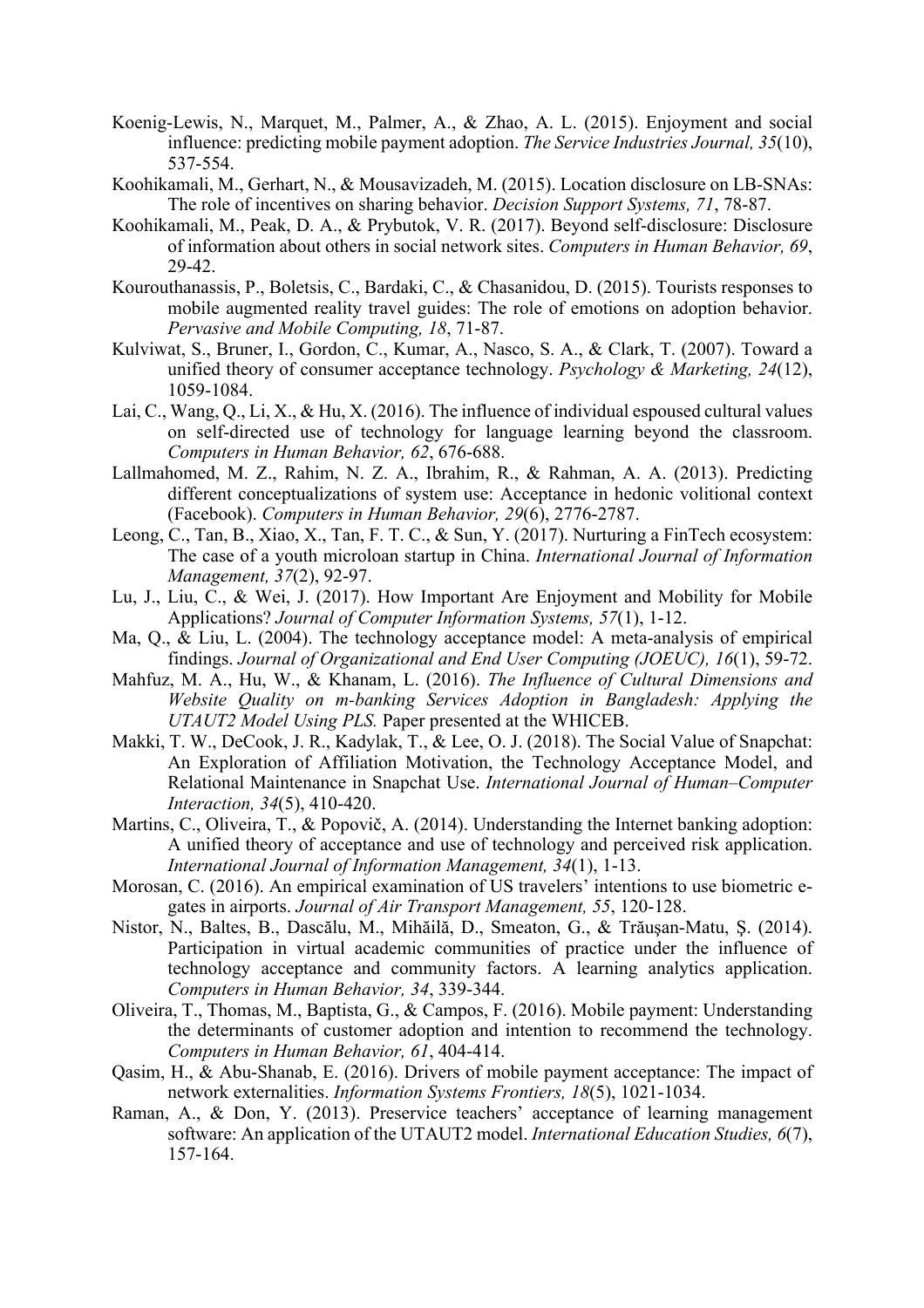- Koenig-Lewis, N., Marquet, M., Palmer, A., & Zhao, A. L. (2015). Enjoyment and social influence: predicting mobile payment adoption. *The Service Industries Journal, 35*(10), 537-554.
- Koohikamali, M., Gerhart, N., & Mousavizadeh, M. (2015). Location disclosure on LB-SNAs: The role of incentives on sharing behavior. *Decision Support Systems, 71*, 78-87.
- Koohikamali, M., Peak, D. A., & Prybutok, V. R. (2017). Beyond self-disclosure: Disclosure of information about others in social network sites. *Computers in Human Behavior, 69*, 29-42.
- Kourouthanassis, P., Boletsis, C., Bardaki, C., & Chasanidou, D. (2015). Tourists responses to mobile augmented reality travel guides: The role of emotions on adoption behavior. *Pervasive and Mobile Computing, 18*, 71-87.
- Kulviwat, S., Bruner, I., Gordon, C., Kumar, A., Nasco, S. A., & Clark, T. (2007). Toward a unified theory of consumer acceptance technology. *Psychology & Marketing, 24*(12), 1059-1084.
- Lai, C., Wang, Q., Li, X., & Hu, X. (2016). The influence of individual espoused cultural values on self-directed use of technology for language learning beyond the classroom. *Computers in Human Behavior, 62*, 676-688.
- Lallmahomed, M. Z., Rahim, N. Z. A., Ibrahim, R., & Rahman, A. A. (2013). Predicting different conceptualizations of system use: Acceptance in hedonic volitional context (Facebook). *Computers in Human Behavior, 29*(6), 2776-2787.
- Leong, C., Tan, B., Xiao, X., Tan, F. T. C., & Sun, Y. (2017). Nurturing a FinTech ecosystem: The case of a youth microloan startup in China. *International Journal of Information Management, 37*(2), 92-97.
- Lu, J., Liu, C., & Wei, J. (2017). How Important Are Enjoyment and Mobility for Mobile Applications? *Journal of Computer Information Systems, 57*(1), 1-12.
- Ma, Q., & Liu, L. (2004). The technology acceptance model: A meta-analysis of empirical findings. *Journal of Organizational and End User Computing (JOEUC), 16*(1), 59-72.
- Mahfuz, M. A., Hu, W., & Khanam, L. (2016). *The Influence of Cultural Dimensions and Website Quality on m-banking Services Adoption in Bangladesh: Applying the UTAUT2 Model Using PLS.* Paper presented at the WHICEB.
- Makki, T. W., DeCook, J. R., Kadylak, T., & Lee, O. J. (2018). The Social Value of Snapchat: An Exploration of Affiliation Motivation, the Technology Acceptance Model, and Relational Maintenance in Snapchat Use. *International Journal of Human–Computer Interaction, 34*(5), 410-420.
- Martins, C., Oliveira, T., & Popovič, A. (2014). Understanding the Internet banking adoption: A unified theory of acceptance and use of technology and perceived risk application. *International Journal of Information Management, 34*(1), 1-13.
- Morosan, C. (2016). An empirical examination of US travelers' intentions to use biometric egates in airports. *Journal of Air Transport Management, 55*, 120-128.
- Nistor, N., Baltes, B., Dascălu, M., Mihăilă, D., Smeaton, G., & Trăuşan-Matu, Ş. (2014). Participation in virtual academic communities of practice under the influence of technology acceptance and community factors. A learning analytics application. *Computers in Human Behavior, 34*, 339-344.
- Oliveira, T., Thomas, M., Baptista, G., & Campos, F. (2016). Mobile payment: Understanding the determinants of customer adoption and intention to recommend the technology. *Computers in Human Behavior, 61*, 404-414.
- Qasim, H., & Abu-Shanab, E. (2016). Drivers of mobile payment acceptance: The impact of network externalities. *Information Systems Frontiers, 18*(5), 1021-1034.
- Raman, A., & Don, Y. (2013). Preservice teachers' acceptance of learning management software: An application of the UTAUT2 model. *International Education Studies, 6*(7), 157-164.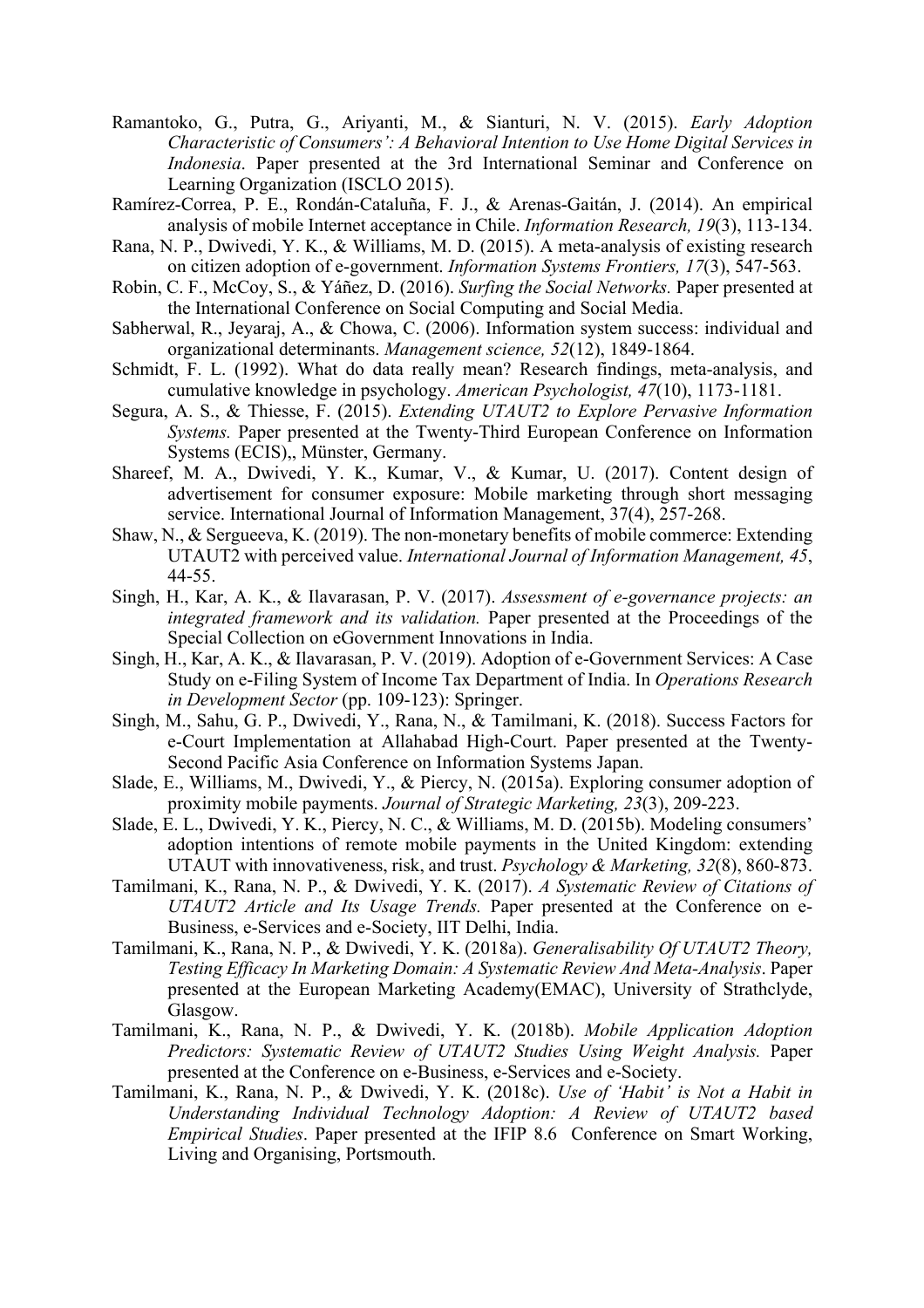- Ramantoko, G., Putra, G., Ariyanti, M., & Sianturi, N. V. (2015). *Early Adoption Characteristic of Consumers': A Behavioral Intention to Use Home Digital Services in Indonesia*. Paper presented at the 3rd International Seminar and Conference on Learning Organization (ISCLO 2015).
- Ramírez-Correa, P. E., Rondán-Cataluña, F. J., & Arenas-Gaitán, J. (2014). An empirical analysis of mobile Internet acceptance in Chile. *Information Research, 19*(3), 113-134.
- Rana, N. P., Dwivedi, Y. K., & Williams, M. D. (2015). A meta-analysis of existing research on citizen adoption of e-government. *Information Systems Frontiers, 17*(3), 547-563.
- Robin, C. F., McCoy, S., & Yáñez, D. (2016). *Surfing the Social Networks.* Paper presented at the International Conference on Social Computing and Social Media.
- Sabherwal, R., Jeyaraj, A., & Chowa, C. (2006). Information system success: individual and organizational determinants. *Management science, 52*(12), 1849-1864.
- Schmidt, F. L. (1992). What do data really mean? Research findings, meta-analysis, and cumulative knowledge in psychology. *American Psychologist, 47*(10), 1173-1181.
- Segura, A. S., & Thiesse, F. (2015). *Extending UTAUT2 to Explore Pervasive Information Systems.* Paper presented at the Twenty-Third European Conference on Information Systems (ECIS),, Münster, Germany.
- Shareef, M. A., Dwivedi, Y. K., Kumar, V., & Kumar, U. (2017). Content design of advertisement for consumer exposure: Mobile marketing through short messaging service. International Journal of Information Management, 37(4), 257-268.
- Shaw, N., & Sergueeva, K. (2019). The non-monetary benefits of mobile commerce: Extending UTAUT2 with perceived value. *International Journal of Information Management, 45*, 44-55.
- Singh, H., Kar, A. K., & Ilavarasan, P. V. (2017). *Assessment of e-governance projects: an integrated framework and its validation.* Paper presented at the Proceedings of the Special Collection on eGovernment Innovations in India.
- Singh, H., Kar, A. K., & Ilavarasan, P. V. (2019). Adoption of e-Government Services: A Case Study on e-Filing System of Income Tax Department of India. In *Operations Research in Development Sector* (pp. 109-123): Springer.
- Singh, M., Sahu, G. P., Dwivedi, Y., Rana, N., & Tamilmani, K. (2018). Success Factors for e-Court Implementation at Allahabad High-Court. Paper presented at the Twenty-Second Pacific Asia Conference on Information Systems Japan.
- Slade, E., Williams, M., Dwivedi, Y., & Piercy, N. (2015a). Exploring consumer adoption of proximity mobile payments. *Journal of Strategic Marketing, 23*(3), 209-223.
- Slade, E. L., Dwivedi, Y. K., Piercy, N. C., & Williams, M. D. (2015b). Modeling consumers' adoption intentions of remote mobile payments in the United Kingdom: extending UTAUT with innovativeness, risk, and trust. *Psychology & Marketing, 32*(8), 860-873.
- Tamilmani, K., Rana, N. P., & Dwivedi, Y. K. (2017). *A Systematic Review of Citations of UTAUT2 Article and Its Usage Trends.* Paper presented at the Conference on e-Business, e-Services and e-Society, IIT Delhi, India.
- Tamilmani, K., Rana, N. P., & Dwivedi, Y. K. (2018a). *Generalisability Of UTAUT2 Theory, Testing Efficacy In Marketing Domain: A Systematic Review And Meta-Analysis*. Paper presented at the European Marketing Academy(EMAC), University of Strathclyde, Glasgow.
- Tamilmani, K., Rana, N. P., & Dwivedi, Y. K. (2018b). *Mobile Application Adoption Predictors: Systematic Review of UTAUT2 Studies Using Weight Analysis.* Paper presented at the Conference on e-Business, e-Services and e-Society.
- Tamilmani, K., Rana, N. P., & Dwivedi, Y. K. (2018c). *Use of 'Habit' is Not a Habit in Understanding Individual Technology Adoption: A Review of UTAUT2 based Empirical Studies*. Paper presented at the IFIP 8.6 Conference on Smart Working, Living and Organising, Portsmouth.